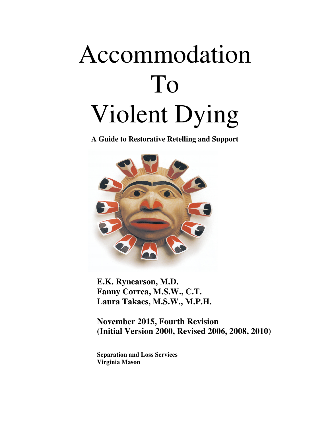# Accommodation To Violent Dying

**A Guide to Restorative Retelling and Support**



**E.K. Rynearson, M.D. Fanny Correa, M.S.W., C.T. Laura Takacs, M.S.W., M.P.H.** 

**November 2015, Fourth Revision (Initial Version 2000, Revised 2006, 2008, 2010)** 

**Separation and Loss Services Virginia Mason**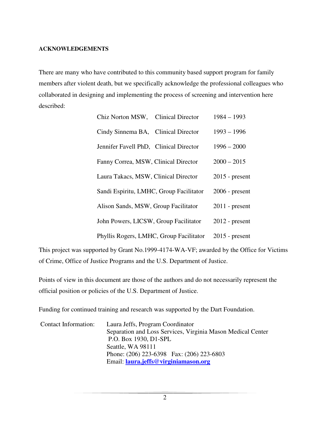#### **ACKNOWLEDGEMENTS**

There are many who have contributed to this community based support program for family members after violent death, but we specifically acknowledge the professional colleagues who collaborated in designing and implementing the process of screening and intervention here described:

| Chiz Norton MSW, Clinical Director      | $1984 - 1993$    |
|-----------------------------------------|------------------|
| Cindy Sinnema BA, Clinical Director     | $1993 - 1996$    |
| Jennifer Favell PhD, Clinical Director  | $1996 - 2000$    |
| Fanny Correa, MSW, Clinical Director    | $2000 - 2015$    |
| Laura Takacs, MSW, Clinical Director    | $2015$ - present |
| Sandi Espiritu, LMHC, Group Facilitator | $2006$ - present |
| Alison Sands, MSW, Group Facilitator    | $2011$ - present |
| John Powers, LICSW, Group Facilitator   | $2012$ - present |
| Phyllis Rogers, LMHC, Group Facilitator | $2015$ - present |

This project was supported by Grant No.1999-4174-WA-VF; awarded by the Office for Victims of Crime, Office of Justice Programs and the U.S. Department of Justice.

Points of view in this document are those of the authors and do not necessarily represent the official position or policies of the U.S. Department of Justice.

Funding for continued training and research was supported by the Dart Foundation.

| Contact Information: | Laura Jeffs, Program Coordinator                            |  |
|----------------------|-------------------------------------------------------------|--|
|                      | Separation and Loss Services, Virginia Mason Medical Center |  |
|                      | P.O. Box 1930, D1-SPL                                       |  |
|                      | Seattle, WA 98111                                           |  |
|                      | Phone: (206) 223-6398 Fax: (206) 223-6803                   |  |
|                      | Email: laura.jeffs@virginiamason.org                        |  |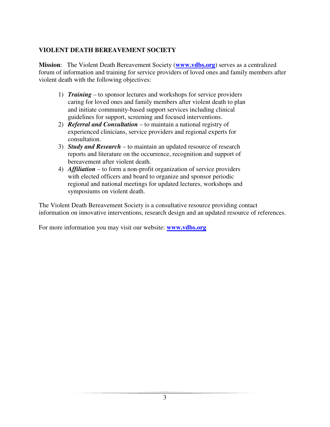# **VIOLENT DEATH BEREAVEMENT SOCIETY**

**Mission**: The Violent Death Bereavement Society (**www.vdbs.org**) serves as a centralized forum of information and training for service providers of loved ones and family members after violent death with the following objectives:

- 1) *Training* to sponsor lectures and workshops for service providers caring for loved ones and family members after violent death to plan and initiate community-based support services including clinical guidelines for support, screening and focused interventions.
- 2) *Referral and Consultation* to maintain a national registry of experienced clinicians, service providers and regional experts for consultation.
- 3) *Study and Research* to maintain an updated resource of research reports and literature on the occurrence, recognition and support of bereavement after violent death.
- 4) *Affiliation* to form a non-profit organization of service providers with elected officers and board to organize and sponsor periodic regional and national meetings for updated lectures, workshops and symposiums on violent death.

The Violent Death Bereavement Society is a consultative resource providing contact information on innovative interventions, research design and an updated resource of references.

For more information you may visit our website: **www.vdbs.org**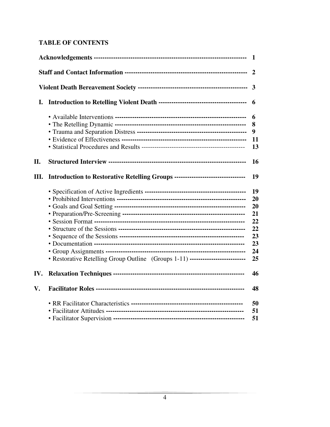# **TABLE OF CONTENTS**

|     |                                                                                  | 1                                                        |
|-----|----------------------------------------------------------------------------------|----------------------------------------------------------|
|     |                                                                                  |                                                          |
|     |                                                                                  | $\overline{3}$                                           |
| I.  |                                                                                  | 6                                                        |
|     |                                                                                  | 6<br>8<br>9<br>11<br>13                                  |
| II. |                                                                                  | 16                                                       |
| Ш.  | Introduction to Restorative Retelling Groups ----------------------------------- | 19                                                       |
|     | • Restorative Retelling Group Outline (Groups 1-11) ---------------------------  | 19<br>20<br>20<br>21<br>22<br>22<br>23<br>23<br>24<br>25 |
| IV. |                                                                                  | 46                                                       |
| V.  |                                                                                  | 48                                                       |
|     |                                                                                  | 50<br>51<br>51                                           |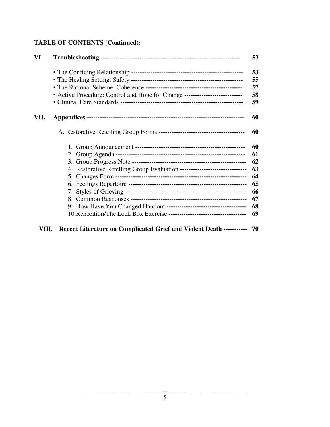# **TABLE OF CONTENTS (Continued):**

| VI.   |                                                                            | 53 |
|-------|----------------------------------------------------------------------------|----|
|       |                                                                            | 53 |
|       |                                                                            | 55 |
|       |                                                                            | 57 |
|       | • Active Procedure: Control and Hope for Change -------------------------- | 58 |
|       |                                                                            | 59 |
| VII.  |                                                                            | 60 |
|       |                                                                            | 60 |
|       |                                                                            | 60 |
|       |                                                                            | 61 |
|       |                                                                            | 62 |
|       | 4. Restorative Retelling Group Evaluation -------------------------------  | 63 |
|       |                                                                            | 64 |
|       |                                                                            | 65 |
|       |                                                                            | 66 |
|       |                                                                            | 67 |
|       |                                                                            | 68 |
|       |                                                                            | 69 |
| VIII. | Recent Literature on Complicated Grief and Violent Death ----------- 70    |    |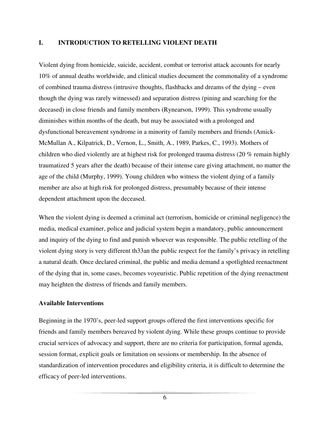#### **I. INTRODUCTION TO RETELLING VIOLENT DEATH**

Violent dying from homicide, suicide, accident, combat or terrorist attack accounts for nearly 10% of annual deaths worldwide, and clinical studies document the commonality of a syndrome of combined trauma distress (intrusive thoughts, flashbacks and dreams of the dying – even though the dying was rarely witnessed) and separation distress (pining and searching for the deceased) in close friends and family members (Rynearson, 1999). This syndrome usually diminishes within months of the death, but may be associated with a prolonged and dysfunctional bereavement syndrome in a minority of family members and friends (Amick-McMullan A., Kilpatrick, D., Vernon, L., Smith, A., 1989, Parkes, C., 1993). Mothers of children who died violently are at highest risk for prolonged trauma distress (20 % remain highly traumatized 5 years after the death) because of their intense care giving attachment, no matter the age of the child (Murphy, 1999). Young children who witness the violent dying of a family member are also at high risk for prolonged distress, presumably because of their intense dependent attachment upon the deceased.

When the violent dying is deemed a criminal act (terrorism, homicide or criminal negligence) the media, medical examiner, police and judicial system begin a mandatory, public announcement and inquiry of the dying to find and punish whoever was responsible. The public retelling of the violent dying story is very different th33an the public respect for the family's privacy in retelling a natural death. Once declared criminal, the public and media demand a spotlighted reenactment of the dying that in, some cases, becomes voyeuristic. Public repetition of the dying reenactment may heighten the distress of friends and family members.

#### **Available Interventions**

Beginning in the 1970's, peer-led support groups offered the first interventions specific for friends and family members bereaved by violent dying. While these groups continue to provide crucial services of advocacy and support, there are no criteria for participation, formal agenda, session format, explicit goals or limitation on sessions or membership. In the absence of standardization of intervention procedures and eligibility criteria, it is difficult to determine the efficacy of peer-led interventions.

6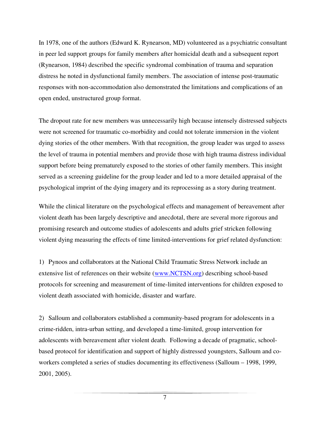In 1978, one of the authors (Edward K. Rynearson, MD) volunteered as a psychiatric consultant in peer led support groups for family members after homicidal death and a subsequent report (Rynearson, 1984) described the specific syndromal combination of trauma and separation distress he noted in dysfunctional family members. The association of intense post-traumatic responses with non-accommodation also demonstrated the limitations and complications of an open ended, unstructured group format.

The dropout rate for new members was unnecessarily high because intensely distressed subjects were not screened for traumatic co-morbidity and could not tolerate immersion in the violent dying stories of the other members. With that recognition, the group leader was urged to assess the level of trauma in potential members and provide those with high trauma distress individual support before being prematurely exposed to the stories of other family members. This insight served as a screening guideline for the group leader and led to a more detailed appraisal of the psychological imprint of the dying imagery and its reprocessing as a story during treatment.

While the clinical literature on the psychological effects and management of bereavement after violent death has been largely descriptive and anecdotal, there are several more rigorous and promising research and outcome studies of adolescents and adults grief stricken following violent dying measuring the effects of time limited-interventions for grief related dysfunction:

1) Pynoos and collaborators at the National Child Traumatic Stress Network include an extensive list of references on their website (www.NCTSN.org) describing school-based protocols for screening and measurement of time-limited interventions for children exposed to violent death associated with homicide, disaster and warfare.

2) Salloum and collaborators established a community-based program for adolescents in a crime-ridden, intra-urban setting, and developed a time-limited, group intervention for adolescents with bereavement after violent death. Following a decade of pragmatic, schoolbased protocol for identification and support of highly distressed youngsters, Salloum and coworkers completed a series of studies documenting its effectiveness (Salloum – 1998, 1999, 2001, 2005).

7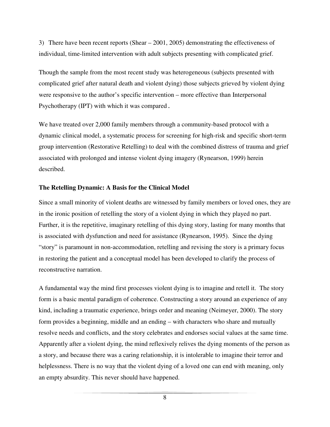3) There have been recent reports (Shear – 2001, 2005) demonstrating the effectiveness of individual, time-limited intervention with adult subjects presenting with complicated grief.

Though the sample from the most recent study was heterogeneous (subjects presented with complicated grief after natural death and violent dying) those subjects grieved by violent dying were responsive to the author's specific intervention – more effective than Interpersonal Psychotherapy (IPT) with which it was compared.

We have treated over 2,000 family members through a community-based protocol with a dynamic clinical model, a systematic process for screening for high-risk and specific short-term group intervention (Restorative Retelling) to deal with the combined distress of trauma and grief associated with prolonged and intense violent dying imagery (Rynearson, 1999) herein described.

### **The Retelling Dynamic: A Basis for the Clinical Model**

Since a small minority of violent deaths are witnessed by family members or loved ones, they are in the ironic position of retelling the story of a violent dying in which they played no part. Further, it is the repetitive, imaginary retelling of this dying story, lasting for many months that is associated with dysfunction and need for assistance (Rynearson, 1995). Since the dying "story" is paramount in non-accommodation, retelling and revising the story is a primary focus in restoring the patient and a conceptual model has been developed to clarify the process of reconstructive narration.

A fundamental way the mind first processes violent dying is to imagine and retell it. The story form is a basic mental paradigm of coherence. Constructing a story around an experience of any kind, including a traumatic experience, brings order and meaning (Neimeyer, 2000). The story form provides a beginning, middle and an ending – with characters who share and mutually resolve needs and conflicts, and the story celebrates and endorses social values at the same time. Apparently after a violent dying, the mind reflexively relives the dying moments of the person as a story, and because there was a caring relationship, it is intolerable to imagine their terror and helplessness. There is no way that the violent dying of a loved one can end with meaning, only an empty absurdity. This never should have happened.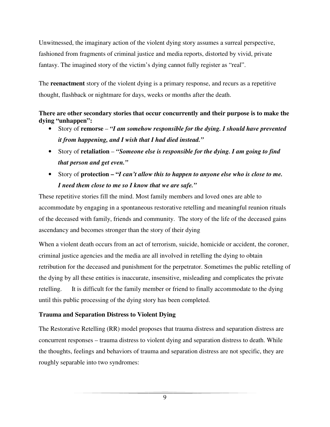Unwitnessed, the imaginary action of the violent dying story assumes a surreal perspective, fashioned from fragments of criminal justice and media reports, distorted by vivid, private fantasy. The imagined story of the victim's dying cannot fully register as "real".

The **reenactment** story of the violent dying is a primary response, and recurs as a repetitive thought, flashback or nightmare for days, weeks or months after the death.

# **There are other secondary stories that occur concurrently and their purpose is to make the dying "unhappen":**

- Story of **remorse** *"I am somehow responsible for the dying. I should have prevented it from happening, and I wish that I had died instead."*
- Story of **retaliation** *"Someone else is responsible for the dying. I am going to find that person and get even."*
- Story of **protection "***I can't allow this to happen to anyone else who is close to me. I need them close to me so I know that we are safe."*

These repetitive stories fill the mind. Most family members and loved ones are able to accommodate by engaging in a spontaneous restorative retelling and meaningful reunion rituals of the deceased with family, friends and community. The story of the life of the deceased gains ascendancy and becomes stronger than the story of their dying

When a violent death occurs from an act of terrorism, suicide, homicide or accident, the coroner, criminal justice agencies and the media are all involved in retelling the dying to obtain retribution for the deceased and punishment for the perpetrator. Sometimes the public retelling of the dying by all these entities is inaccurate, insensitive, misleading and complicates the private retelling. It is difficult for the family member or friend to finally accommodate to the dying until this public processing of the dying story has been completed.

# **Trauma and Separation Distress to Violent Dying**

The Restorative Retelling (RR) model proposes that trauma distress and separation distress are concurrent responses – trauma distress to violent dying and separation distress to death. While the thoughts, feelings and behaviors of trauma and separation distress are not specific, they are roughly separable into two syndromes:

9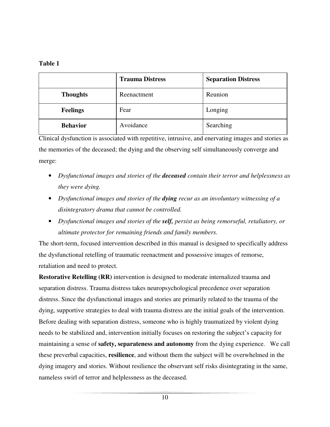# **Table 1**

|                 | <b>Trauma Distress</b> | <b>Separation Distress</b> |
|-----------------|------------------------|----------------------------|
| <b>Thoughts</b> | Reenactment            | Reunion                    |
| <b>Feelings</b> | Fear                   | Longing                    |
| <b>Behavior</b> | Avoidance              | Searching                  |

Clinical dysfunction is associated with repetitive, intrusive, and enervating images and stories as the memories of the deceased; the dying and the observing self simultaneously converge and merge:

- *Dysfunctional images and stories of the deceased contain their terror and helplessness as they were dying.*
- *Dysfunctional images and stories of the dying recur as an involuntary witnessing of a disintegratory drama that cannot be controlled.*
- *Dysfunctional images and stories of the self, persist as being remorseful, retaliatory, or ultimate protector for remaining friends and family members.*

The short-term, focused intervention described in this manual is designed to specifically address the dysfunctional retelling of traumatic reenactment and possessive images of remorse, retaliation and need to protect.

**Restorative Retelling (RR)** intervention is designed to moderate internalized trauma and separation distress. Trauma distress takes neuropsychological precedence over separation distress. Since the dysfunctional images and stories are primarily related to the trauma of the dying, supportive strategies to deal with trauma distress are the initial goals of the intervention. Before dealing with separation distress, someone who is highly traumatized by violent dying needs to be stabilized and, intervention initially focuses on restoring the subject's capacity for maintaining a sense of **safety, separateness and autonomy** from the dying experience. We call these preverbal capacities, **resilience**, and without them the subject will be overwhelmed in the dying imagery and stories. Without resilience the observant self risks disintegrating in the same, nameless swirl of terror and helplessness as the deceased.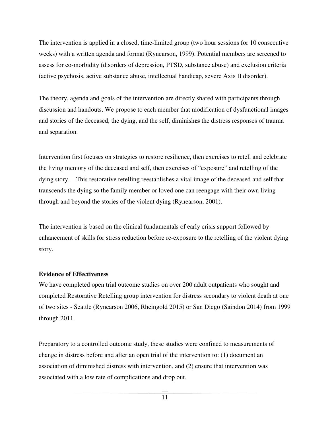The intervention is applied in a closed, time-limited group (two hour sessions for 10 consecutive weeks) with a written agenda and format (Rynearson, 1999). Potential members are screened to assess for co-morbidity (disorders of depression, PTSD, substance abuse) and exclusion criteria (active psychosis, active substance abuse, intellectual handicap, severe Axis II disorder).

The theory, agenda and goals of the intervention are directly shared with participants through discussion and handouts. We propose to each member that modification of dysfunctional images and stories of the deceased, the dying, and the self, diminish**es** the distress responses of trauma and separation.

Intervention first focuses on strategies to restore resilience, then exercises to retell and celebrate the living memory of the deceased and self, then exercises of "exposure" and retelling of the dying story. This restorative retelling reestablishes a vital image of the deceased and self that transcends the dying so the family member or loved one can reengage with their own living through and beyond the stories of the violent dying (Rynearson, 2001).

The intervention is based on the clinical fundamentals of early crisis support followed by enhancement of skills for stress reduction before re-exposure to the retelling of the violent dying story.

# **Evidence of Effectiveness**

We have completed open trial outcome studies on over 200 adult outpatients who sought and completed Restorative Retelling group intervention for distress secondary to violent death at one of two sites - Seattle (Rynearson 2006, Rheingold 2015) or San Diego (Saindon 2014) from 1999 through 2011.

Preparatory to a controlled outcome study, these studies were confined to measurements of change in distress before and after an open trial of the intervention to: (1) document an association of diminished distress with intervention, and (2) ensure that intervention was associated with a low rate of complications and drop out.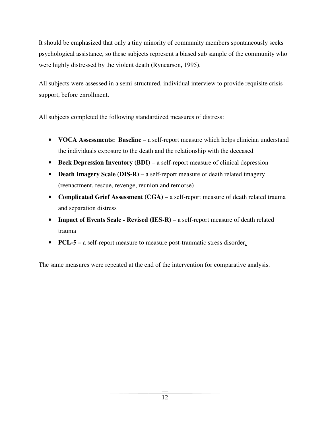It should be emphasized that only a tiny minority of community members spontaneously seeks psychological assistance, so these subjects represent a biased sub sample of the community who were highly distressed by the violent death (Rynearson, 1995).

All subjects were assessed in a semi-structured, individual interview to provide requisite crisis support, before enrollment.

All subjects completed the following standardized measures of distress:

- **VOCA Assessments: Baseline** a self-report measure which helps clinician understand the individuals exposure to the death and the relationship with the deceased
- **Beck Depression Inventory (BDI)** a self-report measure of clinical depression
- **Death Imagery Scale (DIS-R)** a self-report measure of death related imagery (reenactment, rescue, revenge, reunion and remorse)
- **Complicated Grief Assessment** (CGA) a self-report measure of death related trauma and separation distress
- **Impact of Events Scale Revised (IES-R)** a self-report measure of death related trauma
- **PCL-5** a self-report measure to measure post-traumatic stress disorder.

The same measures were repeated at the end of the intervention for comparative analysis.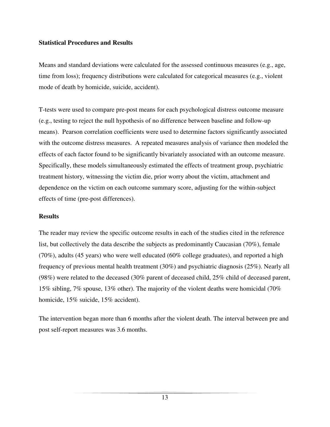### **Statistical Procedures and Results**

Means and standard deviations were calculated for the assessed continuous measures (e.g., age, time from loss); frequency distributions were calculated for categorical measures (e.g., violent mode of death by homicide, suicide, accident).

T-tests were used to compare pre-post means for each psychological distress outcome measure (e.g., testing to reject the null hypothesis of no difference between baseline and follow-up means). Pearson correlation coefficients were used to determine factors significantly associated with the outcome distress measures. A repeated measures analysis of variance then modeled the effects of each factor found to be significantly bivariately associated with an outcome measure. Specifically, these models simultaneously estimated the effects of treatment group, psychiatric treatment history, witnessing the victim die, prior worry about the victim, attachment and dependence on the victim on each outcome summary score, adjusting for the within-subject effects of time (pre-post differences).

# **Results**

The reader may review the specific outcome results in each of the studies cited in the reference list, but collectively the data describe the subjects as predominantly Caucasian (70%), female (70%), adults (45 years) who were well educated (60% college graduates), and reported a high frequency of previous mental health treatment (30%) and psychiatric diagnosis (25%). Nearly all (98%) were related to the deceased (30% parent of deceased child, 25% child of deceased parent, 15% sibling, 7% spouse, 13% other). The majority of the violent deaths were homicidal (70% homicide, 15% suicide, 15% accident).

The intervention began more than 6 months after the violent death. The interval between pre and post self-report measures was 3.6 months.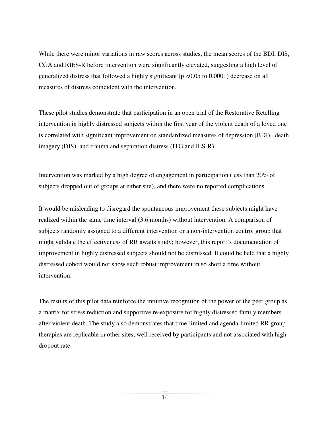While there were minor variations in raw scores across studies, the mean scores of the BDI, DIS, CGA and RIES-R before intervention were significantly elevated, suggesting a high level of generalized distress that followed a highly significant (p <0.05 to 0.0001) decrease on all measures of distress coincident with the intervention.

These pilot studies demonstrate that participation in an open trial of the Restorative Retelling intervention in highly distressed subjects within the first year of the violent death of a loved one is correlated with significant improvement on standardized measures of depression (BDI), death imagery (DIS), and trauma and separation distress (ITG and IES-R).

Intervention was marked by a high degree of engagement in participation (less than 20% of subjects dropped out of groups at either site), and there were no reported complications.

It would be misleading to disregard the spontaneous improvement these subjects might have realized within the same time interval (3.6 months) without intervention. A comparison of subjects randomly assigned to a different intervention or a non-intervention control group that might validate the effectiveness of RR awaits study; however, this report's documentation of improvement in highly distressed subjects should not be dismissed. It could be held that a highly distressed cohort would not show such robust improvement in so short a time without intervention.

The results of this pilot data reinforce the intuitive recognition of the power of the peer group as a matrix for stress reduction and supportive re-exposure for highly distressed family members after violent death. The study also demonstrates that time-limited and agenda-limited RR group therapies are replicable in other sites, well received by participants and not associated with high dropout rate.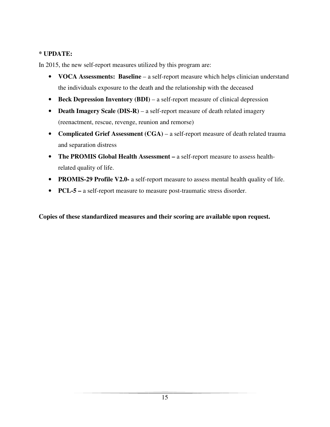# **\* UPDATE:**

In 2015, the new self-report measures utilized by this program are:

- **VOCA Assessments: Baseline** a self-report measure which helps clinician understand the individuals exposure to the death and the relationship with the deceased
- **Beck Depression Inventory (BDI)** a self-report measure of clinical depression
- **Death Imagery Scale (DIS-R)** a self-report measure of death related imagery (reenactment, rescue, revenge, reunion and remorse)
- **Complicated Grief Assessment** (CGA) a self-report measure of death related trauma and separation distress
- **The PROMIS Global Health Assessment** a self-report measure to assess healthrelated quality of life.
- **PROMIS-29 Profile V2.0-** a self-report measure to assess mental health quality of life.
- **PCL-5** a self-report measure to measure post-traumatic stress disorder.

**Copies of these standardized measures and their scoring are available upon request.**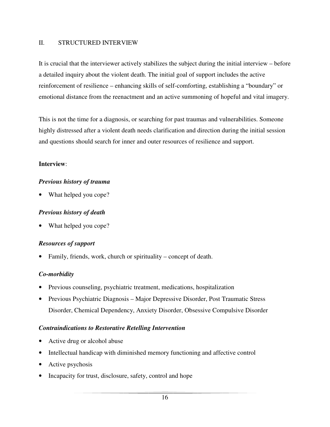### II. STRUCTURED INTERVIEW

It is crucial that the interviewer actively stabilizes the subject during the initial interview – before a detailed inquiry about the violent death. The initial goal of support includes the active reinforcement of resilience – enhancing skills of self-comforting, establishing a "boundary" or emotional distance from the reenactment and an active summoning of hopeful and vital imagery.

This is not the time for a diagnosis, or searching for past traumas and vulnerabilities. Someone highly distressed after a violent death needs clarification and direction during the initial session and questions should search for inner and outer resources of resilience and support.

# **Interview**:

# *Previous history of trauma*

What helped you cope?

# *Previous history of death*

What helped you cope?

# *Resources of support*

Family, friends, work, church or spirituality – concept of death.

# *Co-morbidity*

- Previous counseling, psychiatric treatment, medications, hospitalization
- Previous Psychiatric Diagnosis Major Depressive Disorder, Post Traumatic Stress Disorder, Chemical Dependency, Anxiety Disorder, Obsessive Compulsive Disorder

# *Contraindications to Restorative Retelling Intervention*

- Active drug or alcohol abuse
- Intellectual handicap with diminished memory functioning and affective control
- Active psychosis
- Incapacity for trust, disclosure, safety, control and hope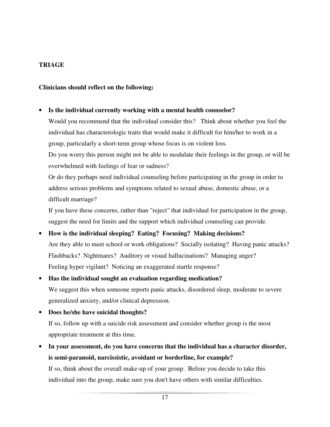# **TRIAGE**

# **Clinicians should reflect on the following:**

# • **Is the individual currently working with a mental health counselor?** Would you recommend that the individual consider this? Think about whether you feel the individual has characterologic traits that would make it difficult for him/her to work in a group, particularly a short-term group whose focus is on violent loss. Do you worry this person might not be able to modulate their feelings in the group, or will be overwhelmed with feelings of fear or sadness? Or do they perhaps need individual counseling before participating in the group in order to

address serious problems and symptoms related to sexual abuse, domestic abuse, or a difficult marriage?

If you have these concerns, rather than "reject" that individual for participation in the group, suggest the need for limits and the support which individual counseling can provide.

• **How is the individual sleeping? Eating? Focusing? Making decisions?** Are they able to meet school or work obligations? Socially isolating? Having panic attacks? Flashbacks? Nightmares? Auditory or visual hallucinations? Managing anger? Feeling hyper vigilant? Noticing an exaggerated startle response?

# • **Has the individual sought an evaluation regarding medication?** We suggest this when someone reports panic attacks, disordered sleep, moderate to severe generalized anxiety, and/or clinical depression.

- **Does he/she have suicidal thoughts?** If so, follow up with a suicide risk assessment and consider whether group is the most appropriate treatment at this time.
- **In your assessment, do you have concerns that the individual has a character disorder, is semi-paranoid, narcissistic, avoidant or borderline, for example?** If so, think about the overall make-up of your group. Before you decide to take this individual into the group, make sure you don't have others with similar difficulties.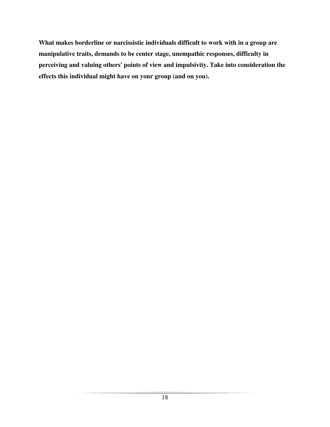**What makes borderline or narcissistic individuals difficult to work with in a group are manipulative traits, demands to be center stage, unempathic responses, difficulty in perceiving and valuing others' points of view and impulsivity. Take into consideration the effects this individual might have on your group (and on you).**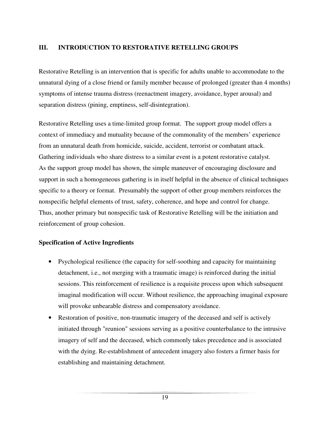# **III. INTRODUCTION TO RESTORATIVE RETELLING GROUPS**

Restorative Retelling is an intervention that is specific for adults unable to accommodate to the unnatural dying of a close friend or family member because of prolonged (greater than 4 months) symptoms of intense trauma distress (reenactment imagery, avoidance, hyper arousal) and separation distress (pining, emptiness, self-disintegration).

Restorative Retelling uses a time-limited group format. The support group model offers a context of immediacy and mutuality because of the commonality of the members' experience from an unnatural death from homicide, suicide, accident, terrorist or combatant attack. Gathering individuals who share distress to a similar event is a potent restorative catalyst. As the support group model has shown, the simple maneuver of encouraging disclosure and support in such a homogeneous gathering is in itself helpful in the absence of clinical techniques specific to a theory or format. Presumably the support of other group members reinforces the nonspecific helpful elements of trust, safety, coherence, and hope and control for change. Thus, another primary but nonspecific task of Restorative Retelling will be the initiation and reinforcement of group cohesion.

# **Specification of Active Ingredients**

- Psychological resilience (the capacity for self-soothing and capacity for maintaining detachment, i.e., not merging with a traumatic image) is reinforced during the initial sessions. This reinforcement of resilience is a requisite process upon which subsequent imaginal modification will occur. Without resilience, the approaching imaginal exposure will provoke unbearable distress and compensatory avoidance.
- Restoration of positive, non-traumatic imagery of the deceased and self is actively initiated through "reunion" sessions serving as a positive counterbalance to the intrusive imagery of self and the deceased, which commonly takes precedence and is associated with the dying. Re-establishment of antecedent imagery also fosters a firmer basis for establishing and maintaining detachment.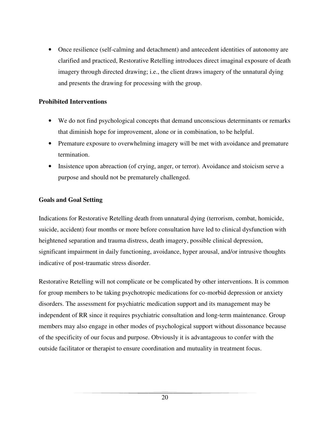• Once resilience (self-calming and detachment) and antecedent identities of autonomy are clarified and practiced, Restorative Retelling introduces direct imaginal exposure of death imagery through directed drawing; i.e., the client draws imagery of the unnatural dying and presents the drawing for processing with the group.

# **Prohibited Interventions**

- We do not find psychological concepts that demand unconscious determinants or remarks that diminish hope for improvement, alone or in combination, to be helpful.
- Premature exposure to overwhelming imagery will be met with avoidance and premature termination.
- Insistence upon abreaction (of crying, anger, or terror). Avoidance and stoicism serve a purpose and should not be prematurely challenged.

# **Goals and Goal Setting**

Indications for Restorative Retelling death from unnatural dying (terrorism, combat, homicide, suicide, accident) four months or more before consultation have led to clinical dysfunction with heightened separation and trauma distress, death imagery, possible clinical depression, significant impairment in daily functioning, avoidance, hyper arousal, and/or intrusive thoughts indicative of post-traumatic stress disorder.

Restorative Retelling will not complicate or be complicated by other interventions. It is common for group members to be taking psychotropic medications for co-morbid depression or anxiety disorders. The assessment for psychiatric medication support and its management may be independent of RR since it requires psychiatric consultation and long-term maintenance. Group members may also engage in other modes of psychological support without dissonance because of the specificity of our focus and purpose. Obviously it is advantageous to confer with the outside facilitator or therapist to ensure coordination and mutuality in treatment focus.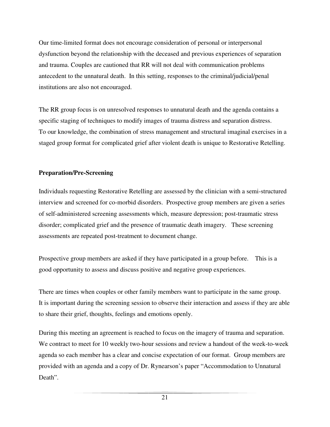Our time-limited format does not encourage consideration of personal or interpersonal dysfunction beyond the relationship with the deceased and previous experiences of separation and trauma. Couples are cautioned that RR will not deal with communication problems antecedent to the unnatural death. In this setting, responses to the criminal/judicial/penal institutions are also not encouraged.

The RR group focus is on unresolved responses to unnatural death and the agenda contains a specific staging of techniques to modify images of trauma distress and separation distress. To our knowledge, the combination of stress management and structural imaginal exercises in a staged group format for complicated grief after violent death is unique to Restorative Retelling.

# **Preparation/Pre-Screening**

Individuals requesting Restorative Retelling are assessed by the clinician with a semi-structured interview and screened for co-morbid disorders. Prospective group members are given a series of self-administered screening assessments which, measure depression; post-traumatic stress disorder; complicated grief and the presence of traumatic death imagery. These screening assessments are repeated post-treatment to document change.

Prospective group members are asked if they have participated in a group before. This is a good opportunity to assess and discuss positive and negative group experiences.

There are times when couples or other family members want to participate in the same group. It is important during the screening session to observe their interaction and assess if they are able to share their grief, thoughts, feelings and emotions openly.

During this meeting an agreement is reached to focus on the imagery of trauma and separation. We contract to meet for 10 weekly two-hour sessions and review a handout of the week-to-week agenda so each member has a clear and concise expectation of our format. Group members are provided with an agenda and a copy of Dr. Rynearson's paper "Accommodation to Unnatural Death".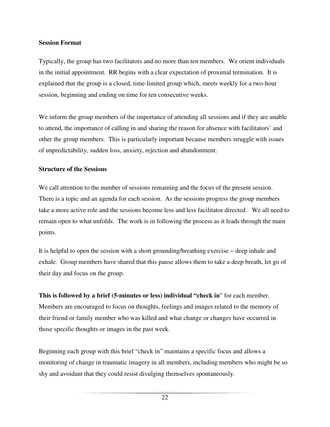### **Session Format**

Typically, the group has two facilitators and no more than ten members. We orient individuals in the initial appointment. RR begins with a clear expectation of proximal termination. It is explained that the group is a closed, time-limited group which, meets weekly for a two-hour session, beginning and ending on time for ten consecutive weeks.

We inform the group members of the importance of attending all sessions and if they are unable to attend, the importance of calling in and sharing the reason for absence with facilitators' and other the group members. This is particularly important because members struggle with issues of unpredictability, sudden loss, anxiety, rejection and abandonment.

# **Structure of the Sessions**

We call attention to the number of sessions remaining and the focus of the present session. There is a topic and an agenda for each session. As the sessions progress the group members take a more active role and the sessions become less and less facilitator directed. We all need to remain open to what unfolds. The work is in following the process as it leads through the main points.

It is helpful to open the session with a short grounding/breathing exercise  $\sim$  deep inhale and exhale. Group members have shared that this pause allows them to take a deep breath, let go of their day and focus on the group.

**This is followed by a brief (5-minutes or less) individual "check in**" for each member. Members are encouraged to focus on thoughts, feelings and images related to the memory of their friend or family member who was killed and what change or changes have occurred in those specific thoughts or images in the past week.

Beginning each group with this brief "check in" maintains a specific focus and allows a monitoring of change in traumatic imagery in all members, including members who might be so shy and avoidant that they could resist divulging themselves spontaneously.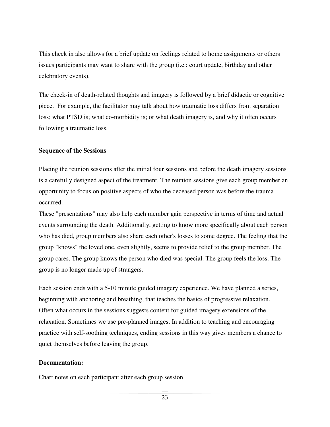This check in also allows for a brief update on feelings related to home assignments or others issues participants may want to share with the group (i.e.: court update, birthday and other celebratory events).

The check-in of death-related thoughts and imagery is followed by a brief didactic or cognitive piece. For example, the facilitator may talk about how traumatic loss differs from separation loss; what PTSD is; what co-morbidity is; or what death imagery is, and why it often occurs following a traumatic loss.

# **Sequence of the Sessions**

Placing the reunion sessions after the initial four sessions and before the death imagery sessions is a carefully designed aspect of the treatment. The reunion sessions give each group member an opportunity to focus on positive aspects of who the deceased person was before the trauma occurred.

These "presentations" may also help each member gain perspective in terms of time and actual events surrounding the death. Additionally, getting to know more specifically about each person who has died, group members also share each other's losses to some degree. The feeling that the group "knows" the loved one, even slightly, seems to provide relief to the group member. The group cares. The group knows the person who died was special. The group feels the loss. The group is no longer made up of strangers.

Each session ends with a 5-10 minute guided imagery experience. We have planned a series, beginning with anchoring and breathing, that teaches the basics of progressive relaxation. Often what occurs in the sessions suggests content for guided imagery extensions of the relaxation. Sometimes we use pre-planned images. In addition to teaching and encouraging practice with self-soothing techniques, ending sessions in this way gives members a chance to quiet themselves before leaving the group.

# **Documentation:**

Chart notes on each participant after each group session.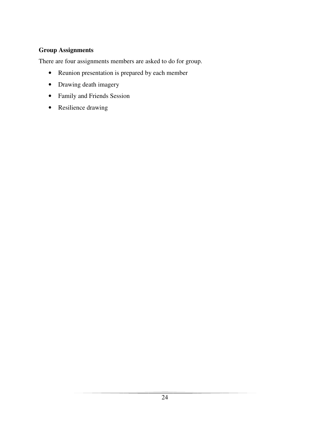# **Group Assignments**

There are four assignments members are asked to do for group.

- Reunion presentation is prepared by each member
- Drawing death imagery
- Family and Friends Session
- Resilience drawing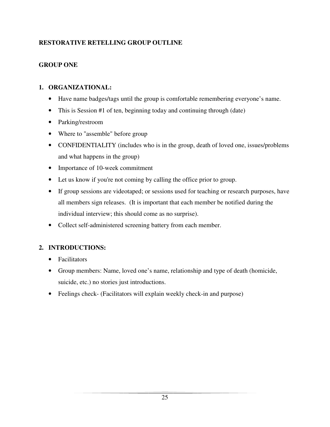# **RESTORATIVE RETELLING GROUP OUTLINE**

# **GROUP ONE**

# **1. ORGANIZATIONAL:**

- Have name badges/tags until the group is comfortable remembering everyone's name.
- This is Session #1 of ten, beginning today and continuing through (date)
- Parking/restroom
- Where to "assemble" before group
- CONFIDENTIALITY (includes who is in the group, death of loved one, issues/problems and what happens in the group)
- Importance of 10-week commitment
- Let us know if you're not coming by calling the office prior to group.
- If group sessions are videotaped; or sessions used for teaching or research purposes, have all members sign releases. (It is important that each member be notified during the individual interview; this should come as no surprise).
- Collect self-administered screening battery from each member.

# **2. INTRODUCTIONS:**

- Facilitators
- Group members: Name, loved one's name, relationship and type of death (homicide, suicide, etc.) no stories just introductions.
- Feelings check- (Facilitators will explain weekly check-in and purpose)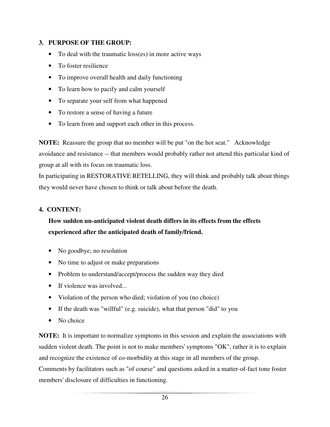# **3. PURPOSE OF THE GROUP:**

- To deal with the traumatic loss(es) in more active ways
- To foster resilience
- To improve overall health and daily functioning
- To learn how to pacify and calm yourself
- To separate your self from what happened
- To restore a sense of having a future
- To learn from and support each other in this process.

**NOTE:** Reassure the group that no member will be put "on the hot seat." Acknowledge avoidance and resistance -- that members would probably rather not attend this particular kind of group at all with its focus on traumatic loss.

In participating in RESTORATIVE RETELLING, they will think and probably talk about things they would never have chosen to think or talk about before the death.

# **4. CONTENT:**

# **How sudden un-anticipated violent death differs in its effects from the effects experienced after the anticipated death of family/friend.**

- No goodbye; no resolution
- No time to adjust or make preparations
- Problem to understand/accept/process the sudden way they died
- If violence was involved...
- Violation of the person who died; violation of you (no choice)
- If the death was "willful" (e.g. suicide), what that person "did" to you
- No choice

**NOTE:** It is important to normalize symptoms in this session and explain the associations with sudden violent death. The point is not to make members' symptoms "OK", rather it is to explain and recognize the existence of co-morbidity at this stage in all members of the group. Comments by facilitators such as "of course" and questions asked in a matter-of-fact tone foster members' disclosure of difficulties in functioning.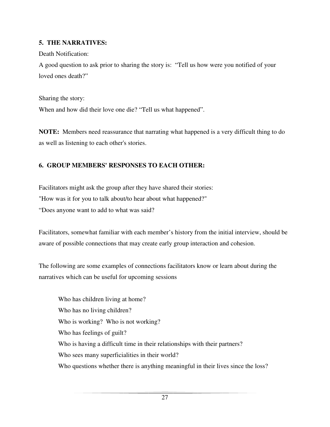# **5. THE NARRATIVES:**

Death Notification:

A good question to ask prior to sharing the story is: "Tell us how were you notified of your loved ones death?"

Sharing the story:

When and how did their love one die? "Tell us what happened".

**NOTE:** Members need reassurance that narrating what happened is a very difficult thing to do as well as listening to each other's stories.

# **6. GROUP MEMBERS' RESPONSES TO EACH OTHER:**

Facilitators might ask the group after they have shared their stories: "How was it for you to talk about/to hear about what happened?"

"Does anyone want to add to what was said?

Facilitators, somewhat familiar with each member's history from the initial interview, should be aware of possible connections that may create early group interaction and cohesion.

The following are some examples of connections facilitators know or learn about during the narratives which can be useful for upcoming sessions

 Who has children living at home? Who has no living children? Who is working? Who is not working? Who has feelings of guilt? Who is having a difficult time in their relationships with their partners? Who sees many superficialities in their world? Who questions whether there is anything meaningful in their lives since the loss?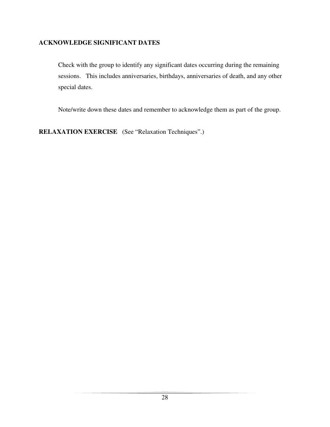# **ACKNOWLEDGE SIGNIFICANT DATES**

Check with the group to identify any significant dates occurring during the remaining sessions. This includes anniversaries, birthdays, anniversaries of death, and any other special dates.

Note/write down these dates and remember to acknowledge them as part of the group.

**RELAXATION EXERCISE** (See "Relaxation Techniques".)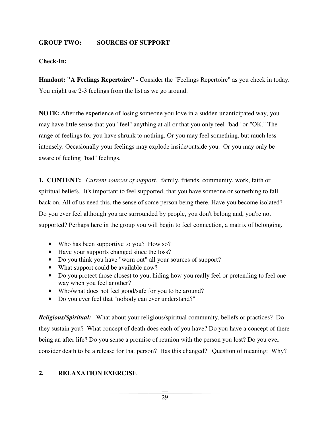# **GROUP TWO: SOURCES OF SUPPORT**

# **Check-In:**

**Handout: "A Feelings Repertoire" -** Consider the "Feelings Repertoire" as you check in today. You might use 2-3 feelings from the list as we go around.

**NOTE:** After the experience of losing someone you love in a sudden unanticipated way, you may have little sense that you "feel" anything at all or that you only feel "bad" or "OK." The range of feelings for you have shrunk to nothing. Or you may feel something, but much less intensely. Occasionally your feelings may explode inside/outside you. Or you may only be aware of feeling "bad" feelings.

**1. CONTENT:** *Current sources of support:* family, friends, community, work, faith or spiritual beliefs. It's important to feel supported, that you have someone or something to fall back on. All of us need this, the sense of some person being there. Have you become isolated? Do you ever feel although you are surrounded by people, you don't belong and, you're not supported? Perhaps here in the group you will begin to feel connection, a matrix of belonging.

- Who has been supportive to you? How so?
- Have your supports changed since the loss?
- Do you think you have "worn out" all your sources of support?
- What support could be available now?
- Do you protect those closest to you, hiding how you really feel or pretending to feel one way when you feel another?
- Who/what does not feel good/safe for you to be around?
- Do you ever feel that "nobody can ever understand?"

*Religious/Spiritual:*What about your religious/spiritual community, beliefs or practices? Do they sustain you? What concept of death does each of you have? Do you have a concept of there being an after life? Do you sense a promise of reunion with the person you lost? Do you ever consider death to be a release for that person? Has this changed?Question of meaning: Why?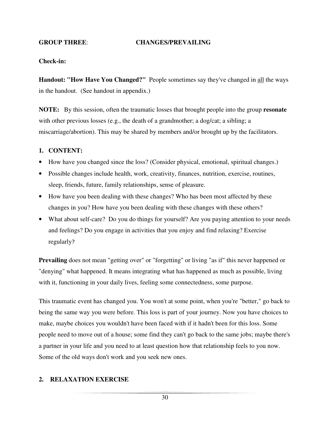#### **GROUP THREE**: **CHANGES/PREVAILING**

#### **Check-in:**

**Handout: "How Have You Changed?"** People sometimes say they've changed in all the ways in the handout. (See handout in appendix.)

**NOTE:** By this session, often the traumatic losses that brought people into the group **resonate** with other previous losses (e.g., the death of a grandmother; a dog/cat; a sibling; a miscarriage/abortion). This may be shared by members and/or brought up by the facilitators.

#### **1. CONTENT:**

- How have you changed since the loss? (Consider physical, emotional, spiritual changes.)
- Possible changes include health, work, creativity, finances, nutrition, exercise, routines, sleep, friends, future, family relationships, sense of pleasure.
- How have you been dealing with these changes? Who has been most affected by these changes in you? How have you been dealing with these changes with these others?
- What about self-care? Do you do things for yourself? Are you paying attention to your needs and feelings? Do you engage in activities that you enjoy and find relaxing? Exercise regularly?

**Prevailing** does not mean "getting over" or "forgetting" or living "as if" this never happened or "denying" what happened. It means integrating what has happened as much as possible, living with it, functioning in your daily lives, feeling some connectedness, some purpose.

This traumatic event has changed you. You won't at some point, when you're "better," go back to being the same way you were before. This loss is part of your journey. Now you have choices to make, maybe choices you wouldn't have been faced with if it hadn't been for this loss. Some people need to move out of a house; some find they can't go back to the same jobs; maybe there's a partner in your life and you need to at least question how that relationship feels to you now. Some of the old ways don't work and you seek new ones.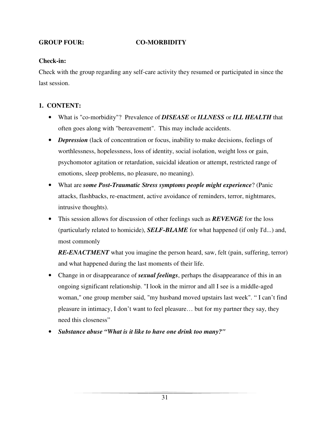# **GROUP FOUR: CO-MORBIDITY**

# **Check-in:**

Check with the group regarding any self-care activity they resumed or participated in since the last session.

# **1. CONTENT:**

- What is "co-morbidity"? Prevalence of *DISEASE* or *ILLNESS* or *ILL HEALTH* that often goes along with "bereavement". This may include accidents.
- *Depression* (lack of concentration or focus, inability to make decisions, feelings of worthlessness, hopelessness, loss of identity, social isolation, weight loss or gain, psychomotor agitation or retardation, suicidal ideation or attempt, restricted range of emotions, sleep problems, no pleasure, no meaning).
- What are *some Post-Traumatic Stress symptoms people might experience*? (Panic attacks, flashbacks, re-enactment, active avoidance of reminders, terror, nightmares, intrusive thoughts).
- This session allows for discussion of other feelings such as *REVENGE* for the loss (particularly related to homicide), *SELF-BLAME* for what happened (if only I'd...) and, most commonly

**RE-ENACTMENT** what you imagine the person heard, saw, felt (pain, suffering, terror) and what happened during the last moments of their life.

- Change in or disappearance of *sexual feelings*, perhaps the disappearance of this in an ongoing significant relationship. "I look in the mirror and all I see is a middle-aged woman," one group member said, "my husband moved upstairs last week". " I can't find pleasure in intimacy, I don't want to feel pleasure… but for my partner they say, they need this closeness"
- *Substance abuse "What is it like to have one drink too many?"*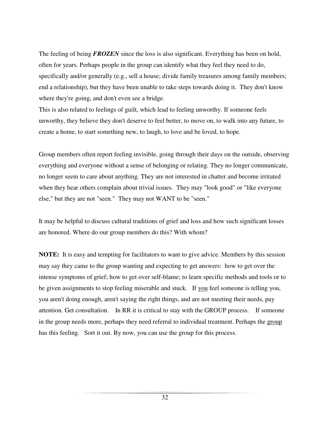The feeling of being *FROZEN* since the loss is also significant. Everything has been on hold, often for years. Perhaps people in the group can identify what they feel they need to do, specifically and/or generally (e.g., sell a house; divide family treasures among family members; end a relationship), but they have been unable to take steps towards doing it. They don't know where they're going, and don't even see a bridge.

This is also related to feelings of guilt, which lead to feeling unworthy. If someone feels unworthy, they believe they don't deserve to feel better, to move on, to walk into any future, to create a home, to start something new, to laugh, to love and be loved, to hope.

Group members often report feeling invisible, going through their days on the outside, observing everything and everyone without a sense of belonging or relating. They no longer communicate, no longer seem to care about anything. They are not interested in chatter and become irritated when they hear others complain about trivial issues. They may "look good" or "like everyone else," but they are not "seen." They may not WANT to be "seen."

It may be helpful to discuss cultural traditions of grief and loss and how such significant losses are honored. Where do our group members do this? With whom?

**NOTE:** It is easy and tempting for facilitators to want to give advice. Members by this session may say they came to the group wanting and expecting to get answers: how to get over the intense symptoms of grief; how to get over self-blame; to learn specific methods and tools or to be given assignments to stop feeling miserable and stuck. If you feel someone is telling you, you aren't doing enough, aren't saying the right things, and are not meeting their needs, pay attention. Get consultation. In RR it is critical to stay with the GROUP process. If someone in the group needs more, perhaps they need referral to individual treatment. Perhaps the group has this feeling. Sort it out. By now, you can use the group for this process.

32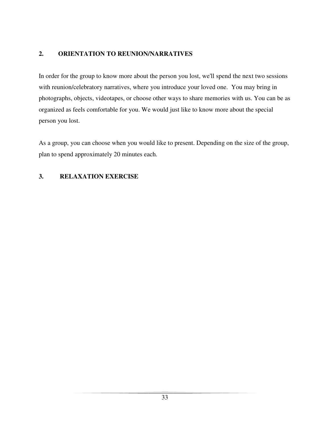# **2. ORIENTATION TO REUNION/NARRATIVES**

In order for the group to know more about the person you lost, we'll spend the next two sessions with reunion/celebratory narratives, where you introduce your loved one. You may bring in photographs, objects, videotapes, or choose other ways to share memories with us. You can be as organized as feels comfortable for you. We would just like to know more about the special person you lost.

As a group, you can choose when you would like to present. Depending on the size of the group, plan to spend approximately 20 minutes each.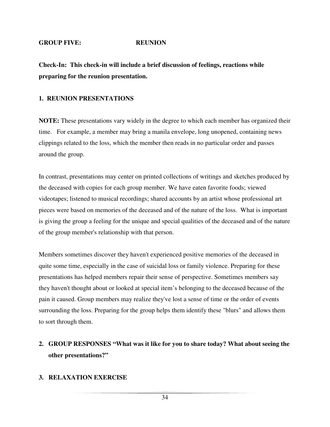#### **GROUP FIVE: REUNION**

**Check-In: This check-in will include a brief discussion of feelings, reactions while preparing for the reunion presentation.** 

### **1. REUNION PRESENTATIONS**

**NOTE:** These presentations vary widely in the degree to which each member has organized their time. For example, a member may bring a manila envelope, long unopened, containing news clippings related to the loss, which the member then reads in no particular order and passes around the group.

In contrast, presentations may center on printed collections of writings and sketches produced by the deceased with copies for each group member. We have eaten favorite foods; viewed videotapes; listened to musical recordings; shared accounts by an artist whose professional art pieces were based on memories of the deceased and of the nature of the loss. What is important is giving the group a feeling for the unique and special qualities of the deceased and of the nature of the group member's relationship with that person.

Members sometimes discover they haven't experienced positive memories of the deceased in quite some time, especially in the case of suicidal loss or family violence. Preparing for these presentations has helped members repair their sense of perspective. Sometimes members say they haven't thought about or looked at special item's belonging to the deceased because of the pain it caused. Group members may realize they've lost a sense of time or the order of events surrounding the loss. Preparing for the group helps them identify these "blurs" and allows them to sort through them.

# **2. GROUP RESPONSES "What was it like for you to share today? What about seeing the other presentations?"**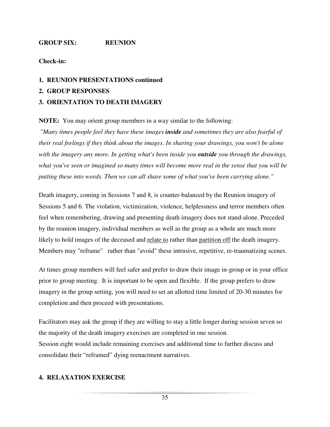# **GROUP SIX: REUNION**

# **Check-in:**

# **1. REUNION PRESENTATIONS continued**

**2. GROUP RESPONSES** 

# **3. ORIENTATION TO DEATH IMAGERY**

**NOTE:** You may orient group members in a way similar to the following:

 "*Many times people feel they have these images inside and sometimes they are also fearful of their real feelings if they think about the images. In sharing your drawings, you won't be alone with the imagery any more. In getting what's been inside you outside you through the drawings, what you've seen or imagined so many times will become more real in the sense that you will be putting these into words. Then we can all share some of what you've been carrying alone."*

Death imagery, coming in Sessions 7 and 8, is counter-balanced by the Reunion imagery of Sessions 5 and 6. The violation, victimization, violence, helplessness and terror members often feel when remembering, drawing and presenting death imagery does not stand-alone. Preceded by the reunion imagery, individual members as well as the group as a whole are much more likely to hold images of the deceased and relate to rather than partition off the death imagery. Members may "reframe" rather than "avoid" these intrusive, repetitive, re-traumatizing scenes.

At times group members will feel safer and prefer to draw their image in-group or in your office prior to group meeting. It is important to be open and flexible. If the group prefers to draw imagery in the group setting, you will need to set an allotted time limited of 20-30 minutes for completion and then proceed with presentations.

Facilitators may ask the group if they are willing to stay a little longer during session seven so the majority of the death imagery exercises are completed in one session. Session eight would include remaining exercises and additional time to further discuss and consolidate their "reframed" dying reenactment narratives.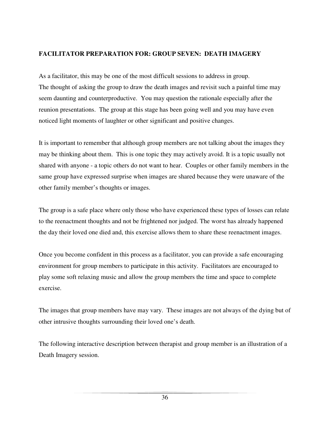# **FACILITATOR PREPARATION FOR: GROUP SEVEN: DEATH IMAGERY**

As a facilitator, this may be one of the most difficult sessions to address in group. The thought of asking the group to draw the death images and revisit such a painful time may seem daunting and counterproductive. You may question the rationale especially after the reunion presentations. The group at this stage has been going well and you may have even noticed light moments of laughter or other significant and positive changes.

It is important to remember that although group members are not talking about the images they may be thinking about them. This is one topic they may actively avoid. It is a topic usually not shared with anyone - a topic others do not want to hear. Couples or other family members in the same group have expressed surprise when images are shared because they were unaware of the other family member's thoughts or images.

The group is a safe place where only those who have experienced these types of losses can relate to the reenactment thoughts and not be frightened nor judged. The worst has already happened the day their loved one died and, this exercise allows them to share these reenactment images.

Once you become confident in this process as a facilitator, you can provide a safe encouraging environment for group members to participate in this activity. Facilitators are encouraged to play some soft relaxing music and allow the group members the time and space to complete exercise.

The images that group members have may vary. These images are not always of the dying but of other intrusive thoughts surrounding their loved one's death.

The following interactive description between therapist and group member is an illustration of a Death Imagery session.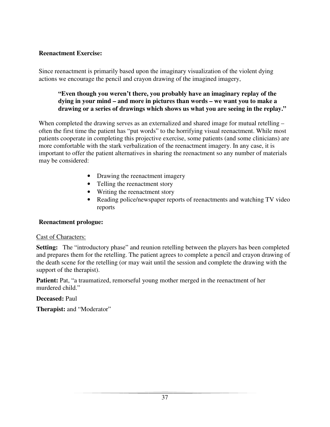# **Reenactment Exercise:**

Since reenactment is primarily based upon the imaginary visualization of the violent dying actions we encourage the pencil and crayon drawing of the imagined imagery,

# **"Even though you weren't there, you probably have an imaginary replay of the dying in your mind – and more in pictures than words – we want you to make a drawing or a series of drawings which shows us what you are seeing in the replay."**

When completed the drawing serves as an externalized and shared image for mutual retelling – often the first time the patient has "put words" to the horrifying visual reenactment. While most patients cooperate in completing this projective exercise, some patients (and some clinicians) are more comfortable with the stark verbalization of the reenactment imagery. In any case, it is important to offer the patient alternatives in sharing the reenactment so any number of materials may be considered:

- Drawing the reenactment imagery
- Telling the reenactment story
- Writing the reenactment story
- Reading police/newspaper reports of reenactments and watching TV video reports

# **Reenactment prologue:**

# Cast of Characters:

**Setting:** The "introductory phase" and reunion retelling between the players has been completed and prepares them for the retelling. The patient agrees to complete a pencil and crayon drawing of the death scene for the retelling (or may wait until the session and complete the drawing with the support of the therapist).

Patient: Pat, "a traumatized, remorseful young mother merged in the reenactment of her murdered child."

# **Deceased:** Paul

**Therapist:** and "Moderator"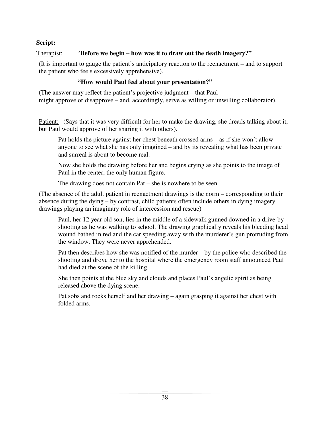# **Script:**

# Therapist: "**Before we begin – how was it to draw out the death imagery?"**

(It is important to gauge the patient's anticipatory reaction to the reenactment – and to support the patient who feels excessively apprehensive).

# **"How would Paul feel about your presentation?"**

(The answer may reflect the patient's projective judgment – that Paul might approve or disapprove – and, accordingly, serve as willing or unwilling collaborator).

Patient: (Says that it was very difficult for her to make the drawing, she dreads talking about it, but Paul would approve of her sharing it with others).

Pat holds the picture against her chest beneath crossed arms – as if she won't allow anyone to see what she has only imagined – and by its revealing what has been private and surreal is about to become real.

Now she holds the drawing before her and begins crying as she points to the image of Paul in the center, the only human figure.

The drawing does not contain Pat – she is nowhere to be seen.

(The absence of the adult patient in reenactment drawings is the norm – corresponding to their absence during the dying – by contrast, child patients often include others in dying imagery drawings playing an imaginary role of intercession and rescue)

Paul, her 12 year old son, lies in the middle of a sidewalk gunned downed in a drive-by shooting as he was walking to school. The drawing graphically reveals his bleeding head wound bathed in red and the car speeding away with the murderer's gun protruding from the window. They were never apprehended.

Pat then describes how she was notified of the murder – by the police who described the shooting and drove her to the hospital where the emergency room staff announced Paul had died at the scene of the killing.

She then points at the blue sky and clouds and places Paul's angelic spirit as being released above the dying scene.

Pat sobs and rocks herself and her drawing – again grasping it against her chest with folded arms.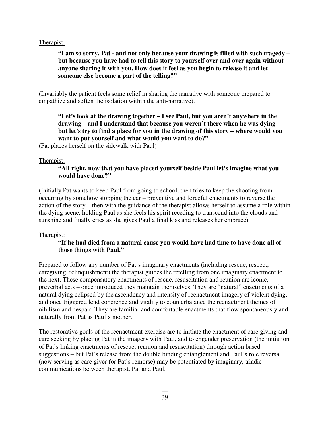# Therapist:

**"I am so sorry, Pat - and not only because your drawing is filled with such tragedy – but because you have had to tell this story to yourself over and over again without anyone sharing it with you. How does it feel as you begin to release it and let someone else become a part of the telling?"** 

(Invariably the patient feels some relief in sharing the narrative with someone prepared to empathize and soften the isolation within the anti-narrative).

**"Let's look at the drawing together – I see Paul, but you aren't anywhere in the drawing – and I understand that because you weren't there when he was dying – but let's try to find a place for you in the drawing of this story – where would you want to put yourself and what would you want to do?"** 

(Pat places herself on the sidewalk with Paul)

# Therapist:

# **"All right, now that you have placed yourself beside Paul let's imagine what you would have done?"**

(Initially Pat wants to keep Paul from going to school, then tries to keep the shooting from occurring by somehow stopping the car – preventive and forceful enactments to reverse the action of the story – then with the guidance of the therapist allows herself to assume a role within the dying scene, holding Paul as she feels his spirit receding to transcend into the clouds and sunshine and finally cries as she gives Paul a final kiss and releases her embrace).

# Therapist:

# **"If he had died from a natural cause you would have had time to have done all of those things with Paul."**

Prepared to follow any number of Pat's imaginary enactments (including rescue, respect, caregiving, relinquishment) the therapist guides the retelling from one imaginary enactment to the next. These compensatory enactments of rescue, resuscitation and reunion are iconic, preverbal acts – once introduced they maintain themselves. They are "natural" enactments of a natural dying eclipsed by the ascendency and intensity of reenactment imagery of violent dying, and once triggered lend coherence and vitality to counterbalance the reenactment themes of nihilism and despair. They are familiar and comfortable enactments that flow spontaneously and naturally from Pat as Paul's mother.

The restorative goals of the reenactment exercise are to initiate the enactment of care giving and care seeking by placing Pat in the imagery with Paul, and to engender preservation (the initiation of Pat's linking enactments of rescue, reunion and resuscitation) through action based suggestions – but Pat's release from the double binding entanglement and Paul's role reversal (now serving as care giver for Pat's remorse) may be potentiated by imaginary, triadic communications between therapist, Pat and Paul.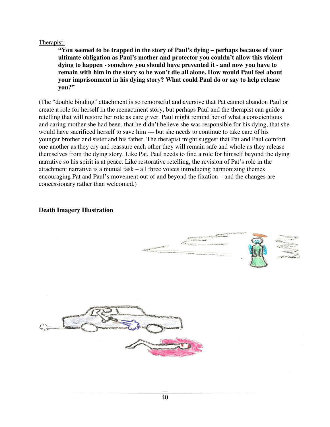### Therapist:

**"You seemed to be trapped in the story of Paul's dying – perhaps because of your ultimate obligation as Paul's mother and protector you couldn't allow this violent dying to happen - somehow you should have prevented it - and now you have to remain with him in the story so he won't die all alone. How would Paul feel about your imprisonment in his dying story? What could Paul do or say to help release you?"** 

(The "double binding" attachment is so remorseful and aversive that Pat cannot abandon Paul or create a role for herself in the reenactment story, but perhaps Paul and the therapist can guide a retelling that will restore her role as care giver. Paul might remind her of what a conscientious and caring mother she had been, that he didn't believe she was responsible for his dying, that she would have sacrificed herself to save him --- but she needs to continue to take care of his younger brother and sister and his father. The therapist might suggest that Pat and Paul comfort one another as they cry and reassure each other they will remain safe and whole as they release themselves from the dying story. Like Pat, Paul needs to find a role for himself beyond the dying narrative so his spirit is at peace. Like restorative retelling, the revision of Pat's role in the attachment narrative is a mutual task – all three voices introducing harmonizing themes encouraging Pat and Paul's movement out of and beyond the fixation – and the changes are concessionary rather than welcomed.)

### **Death Imagery Illustration**

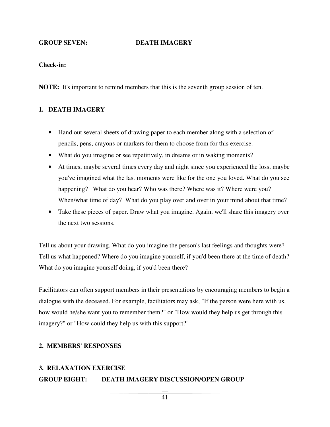#### **GROUP SEVEN: DEATH IMAGERY**

#### **Check-in:**

**NOTE:** It's important to remind members that this is the seventh group session of ten.

#### **1. DEATH IMAGERY**

- Hand out several sheets of drawing paper to each member along with a selection of pencils, pens, crayons or markers for them to choose from for this exercise.
- What do you imagine or see repetitively, in dreams or in waking moments?
- At times, maybe several times every day and night since you experienced the loss, maybe you've imagined what the last moments were like for the one you loved. What do you see happening? What do you hear? Who was there? Where was it? Where were you? When/what time of day? What do you play over and over in your mind about that time?
- Take these pieces of paper. Draw what you imagine. Again, we'll share this imagery over the next two sessions.

Tell us about your drawing. What do you imagine the person's last feelings and thoughts were? Tell us what happened? Where do you imagine yourself, if you'd been there at the time of death? What do you imagine yourself doing, if you'd been there?

Facilitators can often support members in their presentations by encouraging members to begin a dialogue with the deceased. For example, facilitators may ask, "If the person were here with us, how would he/she want you to remember them?" or "How would they help us get through this imagery?" or "How could they help us with this support?"

#### **2. MEMBERS' RESPONSES**

#### **3. RELAXATION EXERCISE**

#### **GROUP EIGHT: DEATH IMAGERY DISCUSSION/OPEN GROUP**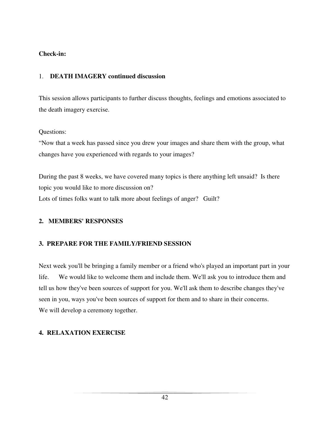# **Check-in:**

# 1. **DEATH IMAGERY continued discussion**

This session allows participants to further discuss thoughts, feelings and emotions associated to the death imagery exercise.

# Questions:

"Now that a week has passed since you drew your images and share them with the group, what changes have you experienced with regards to your images?

During the past 8 weeks, we have covered many topics is there anything left unsaid? Is there topic you would like to more discussion on? Lots of times folks want to talk more about feelings of anger? Guilt?

# **2. MEMBERS' RESPONSES**

# **3. PREPARE FOR THE FAMILY/FRIEND SESSION**

Next week you'll be bringing a family member or a friend who's played an important part in your life. We would like to welcome them and include them. We'll ask you to introduce them and tell us how they've been sources of support for you. We'll ask them to describe changes they've seen in you, ways you've been sources of support for them and to share in their concerns. We will develop a ceremony together.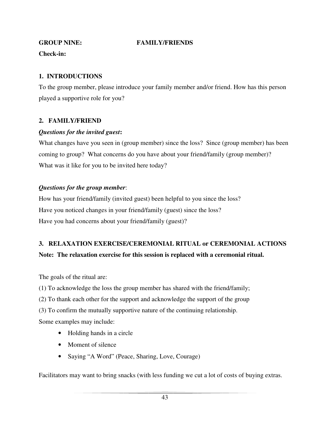# **GROUP NINE: FAMILY/FRIENDS**

**Check-in:** 

# **1. INTRODUCTIONS**

To the group member, please introduce your family member and/or friend. How has this person played a supportive role for you?

# **2. FAMILY/FRIEND**

# *Questions for the invited guest***:**

What changes have you seen in (group member) since the loss? Since (group member) has been coming to group? What concerns do you have about your friend/family (group member)? What was it like for you to be invited here today?

# *Questions for the group member*:

How has your friend/family (invited guest) been helpful to you since the loss? Have you noticed changes in your friend/family (guest) since the loss? Have you had concerns about your friend/family (guest)?

# **3. RELAXATION EXERCISE/CEREMONIAL RITUAL or CEREMONIAL ACTIONS**

# **Note: The relaxation exercise for this session is replaced with a ceremonial ritual.**

The goals of the ritual are:

- (1) To acknowledge the loss the group member has shared with the friend/family;
- (2) To thank each other for the support and acknowledge the support of the group
- (3) To confirm the mutually supportive nature of the continuing relationship.

Some examples may include:

- Holding hands in a circle
- Moment of silence
- Saying "A Word" (Peace, Sharing, Love, Courage)

Facilitators may want to bring snacks (with less funding we cut a lot of costs of buying extras.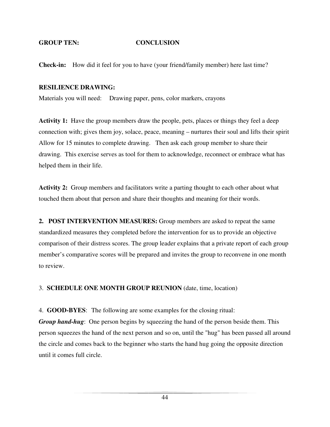#### **GROUP TEN: CONCLUSION**

**Check-in:** How did it feel for you to have (your friend/family member) here last time?

#### **RESILIENCE DRAWING:**

Materials you will need: Drawing paper, pens, color markers, crayons

**Activity 1:** Have the group members draw the people, pets, places or things they feel a deep connection with; gives them joy, solace, peace, meaning – nurtures their soul and lifts their spirit Allow for 15 minutes to complete drawing. Then ask each group member to share their drawing. This exercise serves as tool for them to acknowledge, reconnect or embrace what has helped them in their life.

**Activity 2:** Group members and facilitators write a parting thought to each other about what touched them about that person and share their thoughts and meaning for their words.

**2. POST INTERVENTION MEASURES:** Group members are asked to repeat the same standardized measures they completed before the intervention for us to provide an objective comparison of their distress scores. The group leader explains that a private report of each group member's comparative scores will be prepared and invites the group to reconvene in one month to review.

3. **SCHEDULE ONE MONTH GROUP REUNION** (date, time, location)

4. **GOOD-BYES**: The following are some examples for the closing ritual:

*Group hand-hug*: One person begins by squeezing the hand of the person beside them. This person squeezes the hand of the next person and so on, until the "hug" has been passed all around the circle and comes back to the beginner who starts the hand hug going the opposite direction until it comes full circle.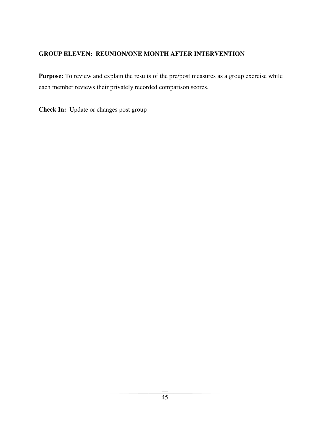# **GROUP ELEVEN: REUNION/ONE MONTH AFTER INTERVENTION**

Purpose: To review and explain the results of the pre/post measures as a group exercise while each member reviews their privately recorded comparison scores.

**Check In:** Update or changes post group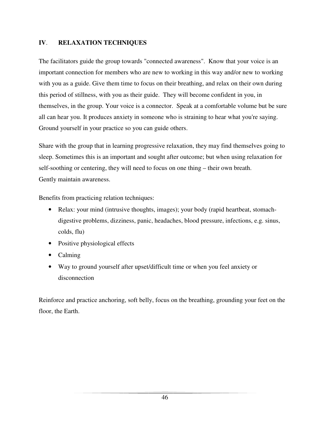# **IV**. **RELAXATION TECHNIQUES**

The facilitators guide the group towards "connected awareness". Know that your voice is an important connection for members who are new to working in this way and/or new to working with you as a guide. Give them time to focus on their breathing, and relax on their own during this period of stillness, with you as their guide. They will become confident in you, in themselves, in the group. Your voice is a connector. Speak at a comfortable volume but be sure all can hear you. It produces anxiety in someone who is straining to hear what you're saying. Ground yourself in your practice so you can guide others.

Share with the group that in learning progressive relaxation, they may find themselves going to sleep. Sometimes this is an important and sought after outcome; but when using relaxation for self-soothing or centering, they will need to focus on one thing – their own breath. Gently maintain awareness.

Benefits from practicing relation techniques:

- Relax: your mind (intrusive thoughts, images); your body (rapid heartbeat, stomachdigestive problems, dizziness, panic, headaches, blood pressure, infections, e.g. sinus, colds, flu)
- Positive physiological effects
- Calming
- Way to ground yourself after upset/difficult time or when you feel anxiety or disconnection

Reinforce and practice anchoring, soft belly, focus on the breathing, grounding your feet on the floor, the Earth.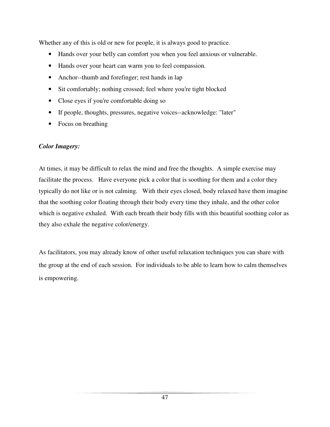Whether any of this is old or new for people, it is always good to practice.

- Hands over your belly can comfort you when you feel anxious or vulnerable.
- Hands over your heart can warm you to feel compassion.
- Anchor--thumb and forefinger; rest hands in lap
- Sit comfortably; nothing crossed; feel where you're tight blocked
- Close eyes if you're comfortable doing so
- If people, thoughts, pressures, negative voices--acknowledge: "later"
- Focus on breathing

# *Color Imagery:*

At times, it may be difficult to relax the mind and free the thoughts. A simple exercise may facilitate the process. Have everyone pick a color that is soothing for them and a color they typically do not like or is not calming. With their eyes closed, body relaxed have them imagine that the soothing color floating through their body every time they inhale, and the other color which is negative exhaled. With each breath their body fills with this beautiful soothing color as they also exhale the negative color/energy.

As facilitators, you may already know of other useful relaxation techniques you can share with the group at the end of each session. For individuals to be able to learn how to calm themselves is empowering.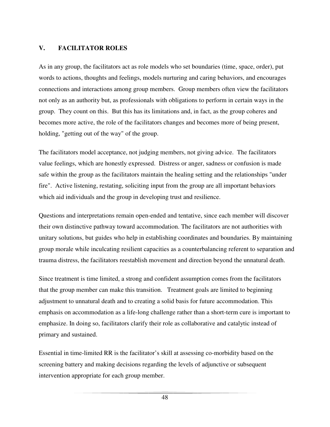# **V. FACILITATOR ROLES**

As in any group, the facilitators act as role models who set boundaries (time, space, order), put words to actions, thoughts and feelings, models nurturing and caring behaviors, and encourages connections and interactions among group members. Group members often view the facilitators not only as an authority but, as professionals with obligations to perform in certain ways in the group. They count on this. But this has its limitations and, in fact, as the group coheres and becomes more active, the role of the facilitators changes and becomes more of being present, holding, "getting out of the way" of the group.

The facilitators model acceptance, not judging members, not giving advice. The facilitators value feelings, which are honestly expressed. Distress or anger, sadness or confusion is made safe within the group as the facilitators maintain the healing setting and the relationships "under fire". Active listening, restating, soliciting input from the group are all important behaviors which aid individuals and the group in developing trust and resilience.

Questions and interpretations remain open-ended and tentative, since each member will discover their own distinctive pathway toward accommodation. The facilitators are not authorities with unitary solutions, but guides who help in establishing coordinates and boundaries. By maintaining group morale while inculcating resilient capacities as a counterbalancing referent to separation and trauma distress, the facilitators reestablish movement and direction beyond the unnatural death.

Since treatment is time limited, a strong and confident assumption comes from the facilitators that the group member can make this transition. Treatment goals are limited to beginning adjustment to unnatural death and to creating a solid basis for future accommodation. This emphasis on accommodation as a life-long challenge rather than a short-term cure is important to emphasize. In doing so, facilitators clarify their role as collaborative and catalytic instead of primary and sustained.

Essential in time-limited RR is the facilitator's skill at assessing co-morbidity based on the screening battery and making decisions regarding the levels of adjunctive or subsequent intervention appropriate for each group member.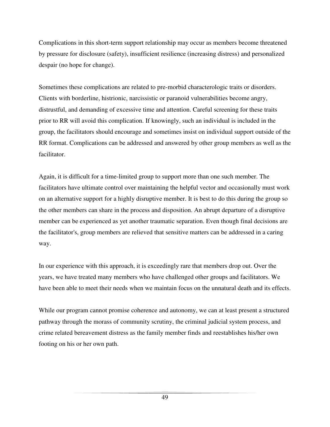Complications in this short-term support relationship may occur as members become threatened by pressure for disclosure (safety), insufficient resilience (increasing distress) and personalized despair (no hope for change).

Sometimes these complications are related to pre-morbid characterologic traits or disorders. Clients with borderline, histrionic, narcissistic or paranoid vulnerabilities become angry, distrustful, and demanding of excessive time and attention. Careful screening for these traits prior to RR will avoid this complication. If knowingly, such an individual is included in the group, the facilitators should encourage and sometimes insist on individual support outside of the RR format. Complications can be addressed and answered by other group members as well as the facilitator.

Again, it is difficult for a time-limited group to support more than one such member. The facilitators have ultimate control over maintaining the helpful vector and occasionally must work on an alternative support for a highly disruptive member. It is best to do this during the group so the other members can share in the process and disposition. An abrupt departure of a disruptive member can be experienced as yet another traumatic separation. Even though final decisions are the facilitator's, group members are relieved that sensitive matters can be addressed in a caring way.

In our experience with this approach, it is exceedingly rare that members drop out. Over the years, we have treated many members who have challenged other groups and facilitators. We have been able to meet their needs when we maintain focus on the unnatural death and its effects.

While our program cannot promise coherence and autonomy, we can at least present a structured pathway through the morass of community scrutiny, the criminal judicial system process, and crime related bereavement distress as the family member finds and reestablishes his/her own footing on his or her own path.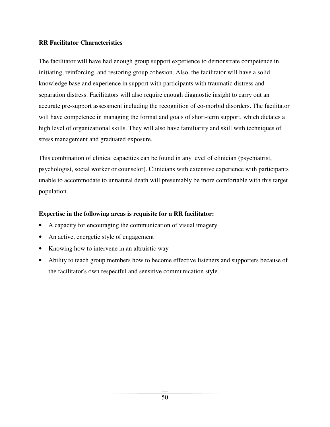# **RR Facilitator Characteristics**

The facilitator will have had enough group support experience to demonstrate competence in initiating, reinforcing, and restoring group cohesion. Also, the facilitator will have a solid knowledge base and experience in support with participants with traumatic distress and separation distress. Facilitators will also require enough diagnostic insight to carry out an accurate pre-support assessment including the recognition of co-morbid disorders. The facilitator will have competence in managing the format and goals of short-term support, which dictates a high level of organizational skills. They will also have familiarity and skill with techniques of stress management and graduated exposure.

This combination of clinical capacities can be found in any level of clinician (psychiatrist, psychologist, social worker or counselor). Clinicians with extensive experience with participants unable to accommodate to unnatural death will presumably be more comfortable with this target population.

# **Expertise in the following areas is requisite for a RR facilitator:**

- A capacity for encouraging the communication of visual imagery
- An active, energetic style of engagement
- Knowing how to intervene in an altruistic way
- Ability to teach group members how to become effective listeners and supporters because of the facilitator's own respectful and sensitive communication style.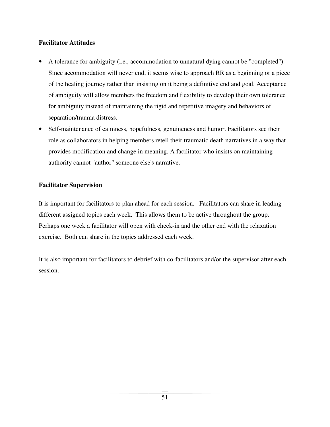# **Facilitator Attitudes**

- A tolerance for ambiguity (i.e., accommodation to unnatural dying cannot be "completed"). Since accommodation will never end, it seems wise to approach RR as a beginning or a piece of the healing journey rather than insisting on it being a definitive end and goal. Acceptance of ambiguity will allow members the freedom and flexibility to develop their own tolerance for ambiguity instead of maintaining the rigid and repetitive imagery and behaviors of separation/trauma distress.
- Self-maintenance of calmness, hopefulness, genuineness and humor. Facilitators see their role as collaborators in helping members retell their traumatic death narratives in a way that provides modification and change in meaning. A facilitator who insists on maintaining authority cannot "author" someone else's narrative.

# **Facilitator Supervision**

It is important for facilitators to plan ahead for each session. Facilitators can share in leading different assigned topics each week. This allows them to be active throughout the group. Perhaps one week a facilitator will open with check-in and the other end with the relaxation exercise. Both can share in the topics addressed each week.

It is also important for facilitators to debrief with co-facilitators and/or the supervisor after each session.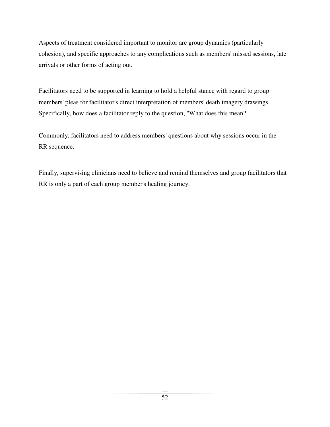Aspects of treatment considered important to monitor are group dynamics (particularly cohesion), and specific approaches to any complications such as members' missed sessions, late arrivals or other forms of acting out.

Facilitators need to be supported in learning to hold a helpful stance with regard to group members' pleas for facilitator's direct interpretation of members' death imagery drawings. Specifically, how does a facilitator reply to the question, "What does this mean?"

Commonly, facilitators need to address members' questions about why sessions occur in the RR sequence.

Finally, supervising clinicians need to believe and remind themselves and group facilitators that RR is only a part of each group member's healing journey.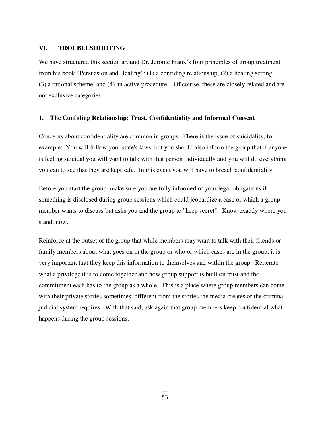# **VI. TROUBLESHOOTING**

We have structured this section around Dr. Jerome Frank's four principles of group treatment from his book "Persuasion and Healing": (1) a confiding relationship, (2) a healing setting, (3) a rational scheme, and (4) an active procedure. Of course, these are closely related and are not exclusive categories.

# **1. The Confiding Relationship: Trust, Confidentiality and Informed Consent**

Concerns about confidentiality are common in groups. There is the issue of suicidality, for example: You will follow your state's laws, but you should also inform the group that if anyone is feeling suicidal you will want to talk with that person individually and you will do everything you can to see that they are kept safe. In this event you will have to breach confidentiality.

Before you start the group, make sure you are fully informed of your legal obligations if something is disclosed during group sessions which could jeopardize a case or which a group member wants to discuss but asks you and the group to "keep secret". Know exactly where you stand, now.

Reinforce at the outset of the group that while members may want to talk with their friends or family members about what goes on in the group or who or which cases are in the group, it is very important that they keep this information to themselves and within the group. Reiterate what a privilege it is to come together and how group support is built on trust and the commitment each has to the group as a whole. This is a place where group members can come with their private stories sometimes, different from the stories the media creates or the criminaljudicial system requires. With that said, ask again that group members keep confidential what happens during the group sessions.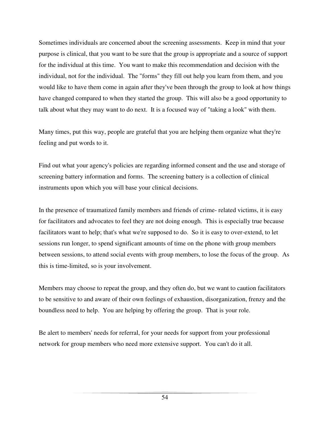Sometimes individuals are concerned about the screening assessments. Keep in mind that your purpose is clinical, that you want to be sure that the group is appropriate and a source of support for the individual at this time. You want to make this recommendation and decision with the individual, not for the individual. The "forms" they fill out help you learn from them, and you would like to have them come in again after they've been through the group to look at how things have changed compared to when they started the group. This will also be a good opportunity to talk about what they may want to do next. It is a focused way of "taking a look" with them.

Many times, put this way, people are grateful that you are helping them organize what they're feeling and put words to it.

Find out what your agency's policies are regarding informed consent and the use and storage of screening battery information and forms. The screening battery is a collection of clinical instruments upon which you will base your clinical decisions.

In the presence of traumatized family members and friends of crime- related victims, it is easy for facilitators and advocates to feel they are not doing enough. This is especially true because facilitators want to help; that's what we're supposed to do. So it is easy to over-extend, to let sessions run longer, to spend significant amounts of time on the phone with group members between sessions, to attend social events with group members, to lose the focus of the group. As this is time-limited, so is your involvement.

Members may choose to repeat the group, and they often do, but we want to caution facilitators to be sensitive to and aware of their own feelings of exhaustion, disorganization, frenzy and the boundless need to help. You are helping by offering the group. That is your role.

Be alert to members' needs for referral, for your needs for support from your professional network for group members who need more extensive support. You can't do it all.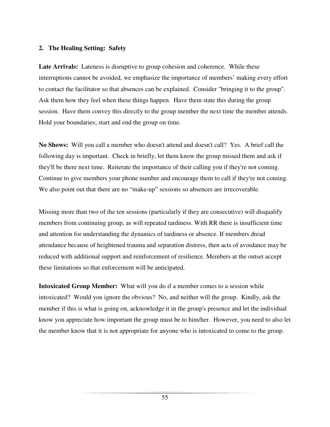### **2. The Healing Setting: Safety**

**Late Arrivals:** Lateness is disruptive to group cohesion and coherence. While these interruptions cannot be avoided, we emphasize the importance of members' making every effort to contact the facilitator so that absences can be explained. Consider "bringing it to the group". Ask them how they feel when these things happen. Have them state this during the group session. Have them convey this directly to the group member the next time the member attends. Hold your boundaries; start and end the group on time.

**No Shows:** Will you call a member who doesn't attend and doesn't call? Yes. A brief call the following day is important. Check in briefly, let them know the group missed them and ask if they'll be there next time. Reiterate the importance of their calling you if they're not coming. Continue to give members your phone number and encourage them to call if they're not coming. We also point out that there are no "make-up" sessions so absences are irrecoverable.

Missing more than two of the ten sessions (particularly if they are consecutive) will disqualify members from continuing group, as will repeated tardiness. With RR there is insufficient time and attention for understanding the dynamics of tardiness or absence. If members dread attendance because of heightened trauma and separation distress, then acts of avoidance may be reduced with additional support and reinforcement of resilience. Members at the outset accept these limitations so that enforcement will be anticipated.

**Intoxicated Group Member:** What will you do if a member comes to a session while intoxicated? Would you ignore the obvious? No, and neither will the group. Kindly, ask the member if this is what is going on, acknowledge it in the group's presence and let the individual know you appreciate how important the group must be to him/her. However, you need to also let the member know that it is not appropriate for anyone who is intoxicated to come to the group.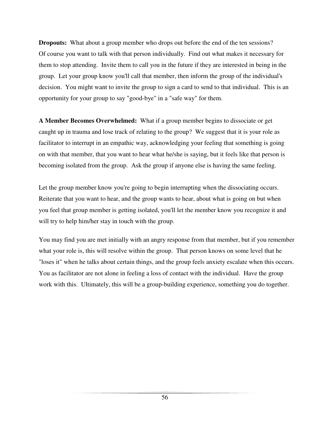**Dropouts:** What about a group member who drops out before the end of the ten sessions? Of course you want to talk with that person individually. Find out what makes it necessary for them to stop attending. Invite them to call you in the future if they are interested in being in the group. Let your group know you'll call that member, then inform the group of the individual's decision. You might want to invite the group to sign a card to send to that individual. This is an opportunity for your group to say "good-bye" in a "safe way" for them.

**A Member Becomes Overwhelmed:** What if a group member begins to dissociate or get caught up in trauma and lose track of relating to the group? We suggest that it is your role as facilitator to interrupt in an empathic way, acknowledging your feeling that something is going on with that member, that you want to hear what he/she is saying, but it feels like that person is becoming isolated from the group. Ask the group if anyone else is having the same feeling.

Let the group member know you're going to begin interrupting when the dissociating occurs. Reiterate that you want to hear, and the group wants to hear, about what is going on but when you feel that group member is getting isolated, you'll let the member know you recognize it and will try to help him/her stay in touch with the group.

You may find you are met initially with an angry response from that member, but if you remember what your role is, this will resolve within the group. That person knows on some level that he "loses it" when he talks about certain things, and the group feels anxiety escalate when this occurs. You as facilitator are not alone in feeling a loss of contact with the individual. Have the group work with this. Ultimately, this will be a group-building experience, something you do together.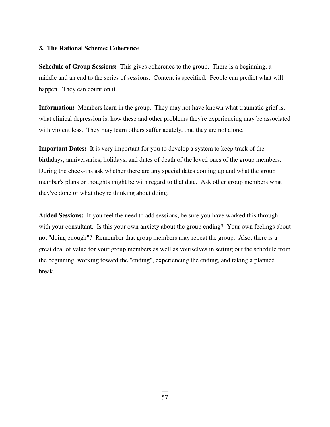# **3. The Rational Scheme: Coherence**

**Schedule of Group Sessions:** This gives coherence to the group. There is a beginning, a middle and an end to the series of sessions. Content is specified. People can predict what will happen. They can count on it.

**Information:** Members learn in the group. They may not have known what traumatic grief is, what clinical depression is, how these and other problems they're experiencing may be associated with violent loss. They may learn others suffer acutely, that they are not alone.

**Important Dates:** It is very important for you to develop a system to keep track of the birthdays, anniversaries, holidays, and dates of death of the loved ones of the group members. During the check-ins ask whether there are any special dates coming up and what the group member's plans or thoughts might be with regard to that date. Ask other group members what they've done or what they're thinking about doing.

**Added Sessions:** If you feel the need to add sessions, be sure you have worked this through with your consultant. Is this your own anxiety about the group ending? Your own feelings about not "doing enough"? Remember that group members may repeat the group. Also, there is a great deal of value for your group members as well as yourselves in setting out the schedule from the beginning, working toward the "ending", experiencing the ending, and taking a planned break.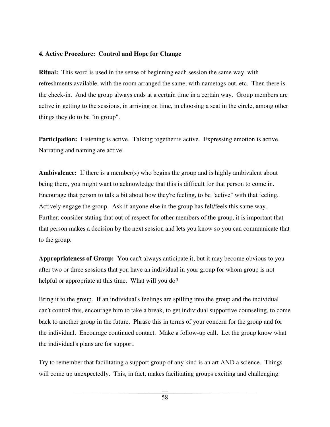### **4. Active Procedure: Control and Hope for Change**

**Ritual:** This word is used in the sense of beginning each session the same way, with refreshments available, with the room arranged the same, with nametags out, etc. Then there is the check-in. And the group always ends at a certain time in a certain way. Group members are active in getting to the sessions, in arriving on time, in choosing a seat in the circle, among other things they do to be "in group".

**Participation:** Listening is active. Talking together is active. Expressing emotion is active. Narrating and naming are active.

**Ambivalence:** If there is a member(s) who begins the group and is highly ambivalent about being there, you might want to acknowledge that this is difficult for that person to come in. Encourage that person to talk a bit about how they're feeling, to be "active" with that feeling. Actively engage the group. Ask if anyone else in the group has felt/feels this same way. Further, consider stating that out of respect for other members of the group, it is important that that person makes a decision by the next session and lets you know so you can communicate that to the group.

**Appropriateness of Group:** You can't always anticipate it, but it may become obvious to you after two or three sessions that you have an individual in your group for whom group is not helpful or appropriate at this time. What will you do?

Bring it to the group. If an individual's feelings are spilling into the group and the individual can't control this, encourage him to take a break, to get individual supportive counseling, to come back to another group in the future. Phrase this in terms of your concern for the group and for the individual. Encourage continued contact. Make a follow-up call. Let the group know what the individual's plans are for support.

Try to remember that facilitating a support group of any kind is an art AND a science. Things will come up unexpectedly. This, in fact, makes facilitating groups exciting and challenging.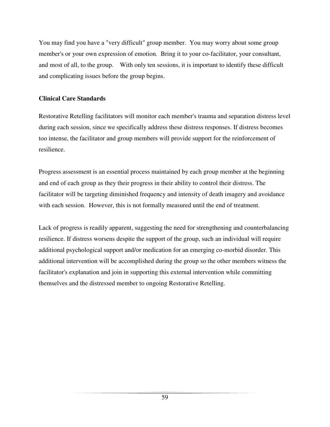You may find you have a "very difficult" group member. You may worry about some group member's or your own expression of emotion. Bring it to your co-facilitator, your consultant, and most of all, to the group. With only ten sessions, it is important to identify these difficult and complicating issues before the group begins.

# **Clinical Care Standards**

Restorative Retelling facilitators will monitor each member's trauma and separation distress level during each session, since we specifically address these distress responses. If distress becomes too intense, the facilitator and group members will provide support for the reinforcement of resilience.

Progress assessment is an essential process maintained by each group member at the beginning and end of each group as they their progress in their ability to control their distress. The facilitator will be targeting diminished frequency and intensity of death imagery and avoidance with each session. However, this is not formally measured until the end of treatment.

Lack of progress is readily apparent, suggesting the need for strengthening and counterbalancing resilience. If distress worsens despite the support of the group, such an individual will require additional psychological support and/or medication for an emerging co-morbid disorder. This additional intervention will be accomplished during the group so the other members witness the facilitator's explanation and join in supporting this external intervention while committing themselves and the distressed member to ongoing Restorative Retelling.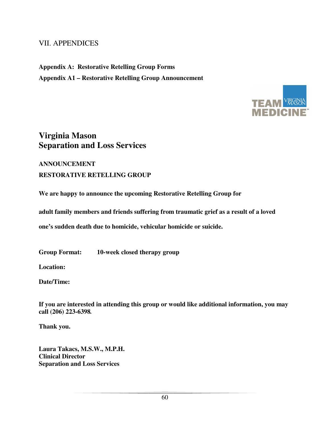# VII. APPENDICES

**Appendix A: Restorative Retelling Group Forms Appendix A1 – Restorative Retelling Group Announcement**



# **Virginia Mason Separation and Loss Services**

# **ANNOUNCEMENT RESTORATIVE RETELLING GROUP**

**We are happy to announce the upcoming Restorative Retelling Group for** 

 **adult family members and friends suffering from traumatic grief as a result of a loved** 

**one's sudden death due to homicide, vehicular homicide or suicide.** 

**Group Format: 10-week closed therapy group** 

 **Location:** 

**Date/Time:** 

**If you are interested in attending this group or would like additional information, you may call (206) 223-6398***.*

**Thank you.** 

**Laura Takacs, M.S.W., M.P.H. Clinical Director Separation and Loss Services**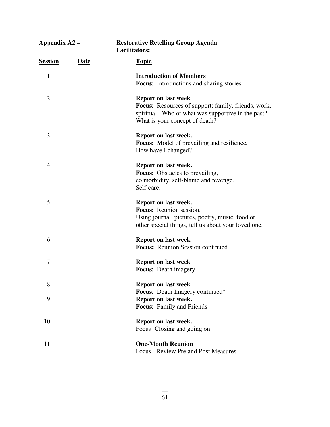| Appendix A2 –  |             | <b>Restorative Retelling Group Agenda</b><br><b>Facilitators:</b>                                                                                                                |  |  |
|----------------|-------------|----------------------------------------------------------------------------------------------------------------------------------------------------------------------------------|--|--|
| <u>Session</u> | <b>Date</b> | <b>Topic</b>                                                                                                                                                                     |  |  |
| 1              |             | <b>Introduction of Members</b>                                                                                                                                                   |  |  |
|                |             | <b>Focus:</b> Introductions and sharing stories                                                                                                                                  |  |  |
| $\overline{2}$ |             | <b>Report on last week</b><br><b>Focus:</b> Resources of support: family, friends, work,<br>spiritual. Who or what was supportive in the past?<br>What is your concept of death? |  |  |
| 3              |             | Report on last week.                                                                                                                                                             |  |  |
|                |             | <b>Focus:</b> Model of prevailing and resilience.                                                                                                                                |  |  |
|                |             | How have I changed?                                                                                                                                                              |  |  |
| $\overline{4}$ |             | Report on last week.                                                                                                                                                             |  |  |
|                |             | <b>Focus:</b> Obstacles to prevailing,                                                                                                                                           |  |  |
|                |             | co morbidity, self-blame and revenge.                                                                                                                                            |  |  |
|                |             | Self-care.                                                                                                                                                                       |  |  |
| 5              |             | Report on last week.                                                                                                                                                             |  |  |
|                |             | Focus: Reunion session.                                                                                                                                                          |  |  |
|                |             | Using journal, pictures, poetry, music, food or<br>other special things, tell us about your loved one.                                                                           |  |  |
| 6              |             | <b>Report on last week</b>                                                                                                                                                       |  |  |
|                |             | <b>Focus:</b> Reunion Session continued                                                                                                                                          |  |  |
| 7              |             | <b>Report on last week</b>                                                                                                                                                       |  |  |
|                |             | <b>Focus:</b> Death imagery                                                                                                                                                      |  |  |
| 8              |             | <b>Report on last week</b>                                                                                                                                                       |  |  |
|                |             | Focus: Death Imagery continued*                                                                                                                                                  |  |  |
| 9              |             | Report on last week.                                                                                                                                                             |  |  |
|                |             | Focus: Family and Friends                                                                                                                                                        |  |  |
| 10             |             | Report on last week.                                                                                                                                                             |  |  |
|                |             | Focus: Closing and going on                                                                                                                                                      |  |  |
| 11             |             | <b>One-Month Reunion</b>                                                                                                                                                         |  |  |
|                |             | Focus: Review Pre and Post Measures                                                                                                                                              |  |  |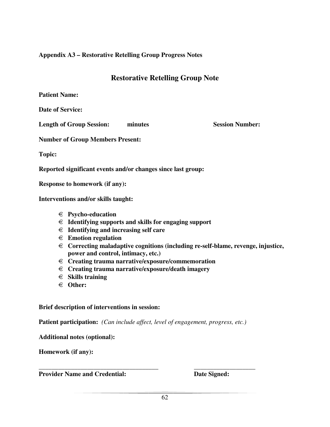# **Appendix A3 – Restorative Retelling Group Progress Notes**

# **Restorative Retelling Group Note**

**Patient Name:** 

**Date of Service:** 

**Length of Group Session:** minutes Session Number:

**Number of Group Members Present:** 

**Topic:** 

**Reported significant events and/or changes since last group:** 

**Response to homework (if any):** 

**Interventions and/or skills taught:** 

- € **Psycho-education**
- € **Identifying supports and skills for engaging support**
- € **Identifying and increasing self care**
- € **Emotion regulation**
- € **Correcting maladaptive cognitions (including re-self-blame, revenge, injustice, power and control, intimacy, etc.)**
- € **Creating trauma narrative/exposure/commemoration**
- € **Creating trauma narrative/exposure/death imagery**
- € **Skills training**
- € **Other:**

**Brief description of interventions in session:** 

**Patient participation:** *(Can include affect, level of engagement, progress, etc.)* 

**\_\_\_\_\_\_\_\_\_\_\_\_\_\_\_\_\_\_\_\_\_\_\_\_\_\_\_\_\_\_\_\_\_\_\_\_\_ \_\_\_\_\_\_\_\_\_\_\_\_\_\_\_\_\_\_\_** 

**Additional notes (optional):** 

**Homework (if any):** 

**Provider Name and Credential:** Date Signed: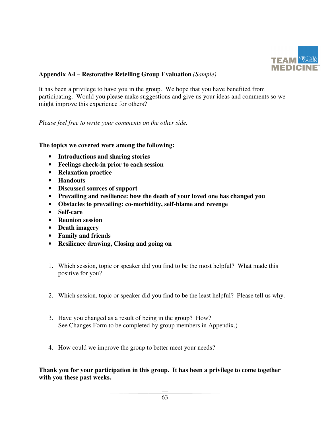

# **Appendix A4 – Restorative Retelling Group Evaluation** *(Sample)*

It has been a privilege to have you in the group. We hope that you have benefited from participating. Would you please make suggestions and give us your ideas and comments so we might improve this experience for others?

*Please feel free to write your comments on the other side.* 

# **The topics we covered were among the following:**

- **Introductions and sharing stories**
- **Feelings check-in prior to each session**
- **Relaxation practice**
- **Handouts**
- **Discussed sources of support**
- **Prevailing and resilience: how the death of your loved one has changed you**
- **Obstacles to prevailing: co-morbidity, self-blame and revenge**
- **Self-care**
- **Reunion session**
- **Death imagery**
- **Family and friends**
- **Resilience drawing, Closing and going on**
- 1. Which session, topic or speaker did you find to be the most helpful? What made this positive for you?
- 2. Which session, topic or speaker did you find to be the least helpful? Please tell us why.
- 3. Have you changed as a result of being in the group? How? See Changes Form to be completed by group members in Appendix.)
- 4. How could we improve the group to better meet your needs?

**Thank you for your participation in this group. It has been a privilege to come together with you these past weeks.**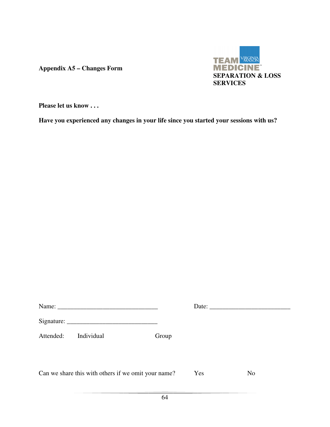**Appendix A5 – Changes Form** 



**Please let us know . . .** 

**Have you experienced any changes in your life since you started your sessions with us?**

| Attended: | Individual                                          | Group |     |                |
|-----------|-----------------------------------------------------|-------|-----|----------------|
|           | Can we share this with others if we omit your name? |       | Yes | N <sub>o</sub> |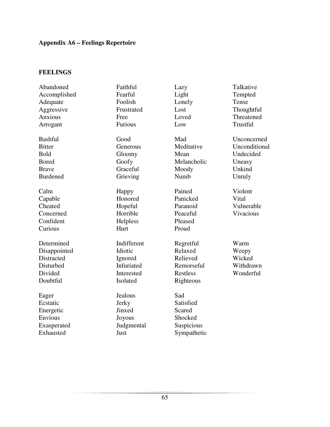# **Appendix A6 – Feelings Repertoire**

# **FEELINGS**

| Abandoned       | Faithful    | Lazy        | Talkative     |
|-----------------|-------------|-------------|---------------|
| Accomplished    | Fearful     | Light       | Tempted       |
| Adequate        | Foolish     | Lonely      | Tense         |
| Aggressive      | Frustrated  | Lost        | Thoughtful    |
| Anxious         | Free        | Loved       | Threatened    |
| Arrogant        | Furious     | Low         | Trustful      |
| <b>Bashful</b>  | Good        | Mad         | Unconcerned   |
| <b>Bitter</b>   | Generous    | Meditative  | Unconditional |
| <b>Bold</b>     | Gloomy      | Mean        | Undecided     |
| <b>Bored</b>    | Goofy       | Melancholic | Uneasy        |
| <b>Brave</b>    | Graceful    | Moody       | Unkind        |
| <b>Burdened</b> | Grieving    | Numb        | Unruly        |
| Calm            | Happy       | Pained      | Violent       |
| Capable         | Honored     | Panicked    | Vital         |
| Cheated         | Hopeful     | Paranoid    | Vulnerable    |
| Concerned       | Horrible    | Peaceful    | Vivacious     |
| Confident       | Helpless    | Pleased     |               |
| Curious         | Hurt        | Proud       |               |
| Determined      | Indifferent | Regretful   | Warm          |
| Disappointed    | Idiotic     | Relaxed     | Weepy         |
| Distracted      | Ignored     | Relieved    | Wicked        |
| Disturbed       | Infuriated  | Remorseful  | Withdrawn     |
| Divided         | Interested  | Restless    | Wonderful     |
| Doubtful        | Isolated    | Righteous   |               |
| Eager           | Jealous     | Sad         |               |
| Ecstatic        | Jerky       | Satisfied   |               |
| Energetic       | Jinxed      | Scared      |               |
| Envious         | Joyous      | Shocked     |               |
| Exasperated     | Judgmental  | Suspicious  |               |
| Exhausted       | Just        | Sympathetic |               |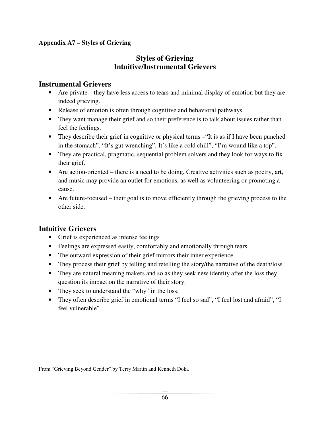# **Appendix A7 – Styles of Grieving**

# **Styles of Grieving Intuitive/Instrumental Grievers**

# **Instrumental Grievers**

- Are private they have less access to tears and minimal display of emotion but they are indeed grieving.
- Release of emotion is often through cognitive and behavioral pathways.
- They want manage their grief and so their preference is to talk about issues rather than feel the feelings.
- They describe their grief in cognitive or physical terms "It is as if I have been punched in the stomach", "It's gut wrenching", It's like a cold chill", "I'm wound like a top".
- They are practical, pragmatic, sequential problem solvers and they look for ways to fix their grief.
- Are action-oriented there is a need to be doing. Creative activities such as poetry, art, and music may provide an outlet for emotions, as well as volunteering or promoting a cause.
- Are future-focused their goal is to move efficiently through the grieving process to the other side.

# **Intuitive Grievers**

- Grief is experienced as intense feelings
- Feelings are expressed easily, comfortably and emotionally through tears.
- The outward expression of their grief mirrors their inner experience.
- They process their grief by telling and retelling the story/the narrative of the death/loss.
- They are natural meaning makers and so as they seek new identity after the loss they question its impact on the narrative of their story.
- They seek to understand the "why" in the loss.
- They often describe grief in emotional terms "I feel so sad", "I feel lost and afraid", "I feel vulnerable".

From "Grieving Beyond Gender" by Terry Martin and Kenneth Doka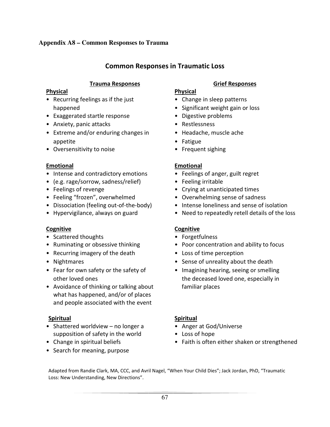# Common Responses in Traumatic Loss

### **Trauma Responses Community Community Community Community Community Community Community Community Community Community**

# Physical Physical

- Recurring feelings as if the just Change in sleep patterns
- Exaggerated startle response Digestive problems
- Anxiety, panic attacks Restlessness
- Extreme and/or enduring changes in Headache, muscle ache appetite • Fatigue
- Oversensitivity to noise Frequent sighing

# Emotional Emotional

- Intense and contradictory emotions Feelings of anger, guilt regret
- (e.g. rage/sorrow, sadness/relief) Feeling irritable
- 
- Feeling "frozen", overwhelmed Overwhelming sense of sadness
- 
- 

# Cognitive Cognitive

- Scattered thoughts Forgetfulness
- 
- Recurring imagery of the death Loss of time perception
- 
- 
- Avoidance of thinking or talking about familiar places what has happened, and/or of places and people associated with the event

# Spiritual Spiritual

- Shattered worldview no longer a Anger at God/Universe supposition of safety in the world • Loss of hope
- 
- Search for meaning, purpose

- 
- happened **•** Significant weight gain or loss
	-
	-
	-
	-
	-

- 
- 
- Feelings of revenge  **Crying at unanticipated times** 
	-
- Dissociation (feeling out-of-the-body) Intense loneliness and sense of isolation
- Hypervigilance, always on guard Need to repeatedly retell details of the loss

- 
- Ruminating or obsessive thinking Poor concentration and ability to focus
	-
- Nightmares Sense of unreality about the death
- Fear for own safety or the safety of Imagining hearing, seeing or smelling other loved ones the deceased loved one, especially in

- 
- 
- Change in spiritual beliefs Faith is often either shaken or strengthened

Adapted from Randie Clark, MA, CCC, and Avril Nagel, "When Your Child Dies"; Jack Jordan, PhD, "Traumatic Loss: New Understanding, New Directions".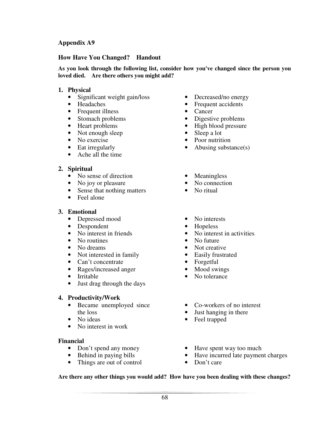### **Appendix A9**

### **How Have You Changed? Handout**

**As you look through the following list, consider how you've changed since the person you loved died. Are there others you might add?** 

#### **1. Physical**

- Significant weight gain/loss Decreased/no energy
- 
- Frequent illness Cancer
- 
- 
- Not enough sleep Sleep a lot
- 
- 
- Ache all the time

#### **2. Spiritual**

- No sense of direction Meaningless
- 
- No joy or pleasure No connection<br>• Sense that nothing matters No ritual • Sense that nothing matters
- Feel alone

#### **3. Emotional**

- Depressed mood No interests
- Despondent Hopeless
- 
- No routines No future
- 
- Not interested in family Easily frustrated
- 
- Can't concentrate Forgetful<br>• Rages/increased anger Mood swings • Rages/increased anger •  $\bullet$
- 
- Just drag through the days

#### **4. Productivity/Work**

- Became unemployed since the loss
- 
- No interest in work

#### **Financial**

- 
- 
- Things are out of control Don't care
- 
- Headaches Frequent accidents
	-
- Stomach problems Digestive problems
- Heart problems High blood pressure
	-
- No exercise Poor nutrition
- Eat irregularly Abusing substance(s)
	-
	-
	-
	-
	-
- No interest in friends<br>• No interest in activities<br>• No future<br>• No future
	-
- No dreams Not creative
	-
	-
	-
- Irritable No tolerance
	- Co-workers of no interest
	- Just hanging in there
- No ideas Feel trapped
- Don't spend any money Have spent way too much
- Behind in paying bills Have incurred late payment charges
	-

#### **Are there any other things you would add? How have you been dealing with these changes?**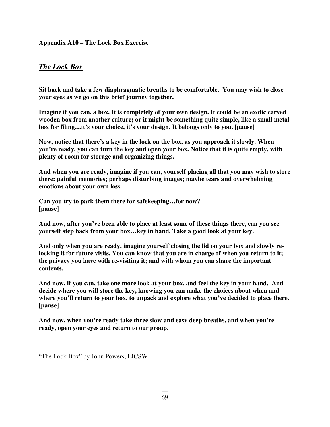# **Appendix A10 – The Lock Box Exercise**

# *The Lock Box*

**Sit back and take a few diaphragmatic breaths to be comfortable. You may wish to close your eyes as we go on this brief journey together.** 

**Imagine if you can, a box. It is completely of your own design. It could be an exotic carved wooden box from another culture; or it might be something quite simple, like a small metal box for filing…it's your choice, it's your design. It belongs only to you. [pause]** 

**Now, notice that there's a key in the lock on the box, as you approach it slowly. When you're ready, you can turn the key and open your box. Notice that it is quite empty, with plenty of room for storage and organizing things.** 

**And when you are ready, imagine if you can, yourself placing all that you may wish to store there: painful memories; perhaps disturbing images; maybe tears and overwhelming emotions about your own loss.** 

**Can you try to park them there for safekeeping…for now? [pause]** 

**And now, after you've been able to place at least some of these things there, can you see yourself step back from your box…key in hand. Take a good look at your key.** 

**And only when you are ready, imagine yourself closing the lid on your box and slowly relocking it for future visits. You can know that you are in charge of when you return to it; the privacy you have with re-visiting it; and with whom you can share the important contents.** 

**And now, if you can, take one more look at your box, and feel the key in your hand. And decide where you will store the key, knowing you can make the choices about when and where you'll return to your box, to unpack and explore what you've decided to place there. [pause]** 

**And now, when you're ready take three slow and easy deep breaths, and when you're ready, open your eyes and return to our group.** 

"The Lock Box" by John Powers, LICSW